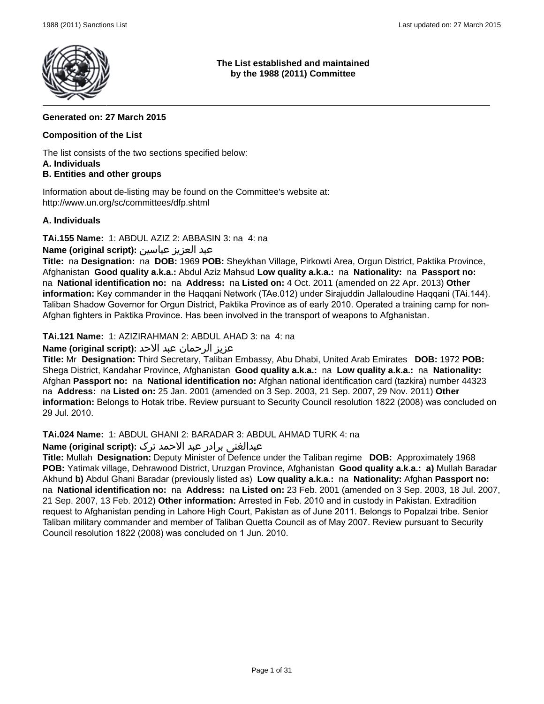

## **The List established and maintained by the 1988 (2011) Committee**

# **Generated on: 27 March 2015**

# **Composition of the List**

The list consists of the two sections specified below:

#### **A. Individuals**

# **B. Entities and other groups**

Information about de-listing may be found on the Committee's website at: http://www.un.org/sc/committees/dfp.shtml

### **A. Individuals**

**TAi.155 Name:** 1: ABDUL AZIZ 2: ABBASIN 3: na 4: na

عبد العزيز عباسین **:(script original (Name**

**Title:** na **Designation:** na **DOB:** 1969 **POB:** Sheykhan Village, Pirkowti Area, Orgun District, Paktika Province, Afghanistan **Good quality a.k.a.:** Abdul Aziz Mahsud **Low quality a.k.a.:** na **Nationality:** na **Passport no:**  na **National identification no:** na **Address:** na **Listed on:** 4 Oct. 2011 (amended on 22 Apr. 2013) **Other information:** Key commander in the Haqqani Network (TAe.012) under Sirajuddin Jallaloudine Haqqani (TAi.144). Taliban Shadow Governor for Orgun District, Paktika Province as of early 2010. Operated a training camp for non-Afghan fighters in Paktika Province. Has been involved in the transport of weapons to Afghanistan.

**TAi.121 Name:** 1: AZIZIRAHMAN 2: ABDUL AHAD 3: na 4: na

عزیز الرحمان عبد الاحد **:(script original (Name**

**Title:** Mr **Designation:** Third Secretary, Taliban Embassy, Abu Dhabi, United Arab Emirates **DOB:** 1972 **POB:** Shega District, Kandahar Province, Afghanistan **Good quality a.k.a.:** na **Low quality a.k.a.:** na **Nationality:** Afghan **Passport no:** na **National identification no:** Afghan national identification card (tazkira) number 44323 na **Address:** na **Listed on:** 25 Jan. 2001 (amended on 3 Sep. 2003, 21 Sep. 2007, 29 Nov. 2011) **Other information:** Belongs to Hotak tribe. Review pursuant to Security Council resolution 1822 (2008) was concluded on 29 Jul. 2010.

**TAi.024 Name:** 1: ABDUL GHANI 2: BARADAR 3: ABDUL AHMAD TURK 4: na

# عبدالغنی برادر عبد الاحمد ترک **:(script original (Name**

**Title:** Mullah **Designation:** Deputy Minister of Defence under the Taliban regime **DOB:** Approximately 1968 **POB:** Yatimak village, Dehrawood District, Uruzgan Province, Afghanistan **Good quality a.k.a.: a)** Mullah Baradar Akhund **b)** Abdul Ghani Baradar (previously listed as) **Low quality a.k.a.:** na **Nationality:** Afghan **Passport no:**  na **National identification no:** na **Address:** na **Listed on:** 23 Feb. 2001 (amended on 3 Sep. 2003, 18 Jul. 2007, 21 Sep. 2007, 13 Feb. 2012) **Other information:** Arrested in Feb. 2010 and in custody in Pakistan. Extradition request to Afghanistan pending in Lahore High Court, Pakistan as of June 2011. Belongs to Popalzai tribe. Senior Taliban military commander and member of Taliban Quetta Council as of May 2007. Review pursuant to Security Council resolution 1822 (2008) was concluded on 1 Jun. 2010.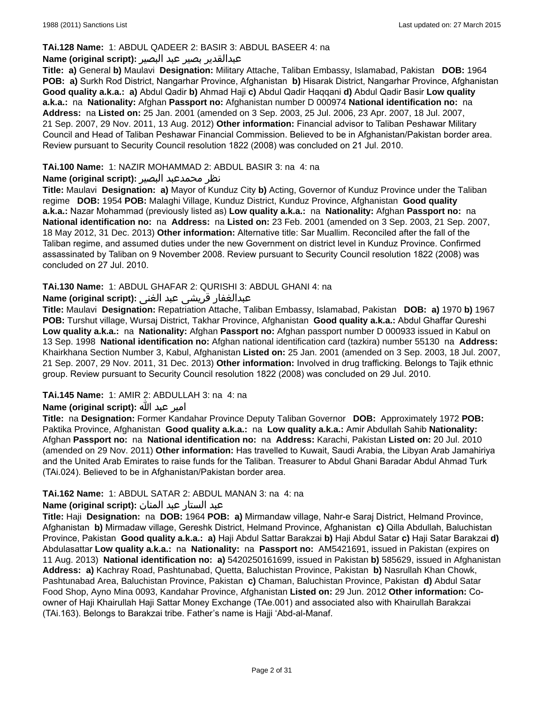### **TAi.128 Name:** 1: ABDUL QADEER 2: BASIR 3: ABDUL BASEER 4: na

#### عبدالقدیر بصیر عبد البصير **:(script original (Name**

**Title: a)** General **b)** Maulavi **Designation:** Military Attache, Taliban Embassy, Islamabad, Pakistan **DOB:** 1964 **POB: a)** Surkh Rod District, Nangarhar Province, Afghanistan **b)** Hisarak District, Nangarhar Province, Afghanistan **Good quality a.k.a.: a)** Abdul Qadir **b)** Ahmad Haji **c)** Abdul Qadir Haqqani **d)** Abdul Qadir Basir **Low quality a.k.a.:** na **Nationality:** Afghan **Passport no:** Afghanistan number D 000974 **National identification no:** na **Address:** na **Listed on:** 25 Jan. 2001 (amended on 3 Sep. 2003, 25 Jul. 2006, 23 Apr. 2007, 18 Jul. 2007, 21 Sep. 2007, 29 Nov. 2011, 13 Aug. 2012) **Other information:** Financial advisor to Taliban Peshawar Military Council and Head of Taliban Peshawar Financial Commission. Believed to be in Afghanistan/Pakistan border area. Review pursuant to Security Council resolution 1822 (2008) was concluded on 21 Jul. 2010.

### **TAi.100 Name:** 1: NAZIR MOHAMMAD 2: ABDUL BASIR 3: na 4: na

## نظر محمدعبد البصیر **:(script original (Name**

**Title:** Maulavi **Designation: a)** Mayor of Kunduz City **b)** Acting, Governor of Kunduz Province under the Taliban regime **DOB:** 1954 **POB:** Malaghi Village, Kunduz District, Kunduz Province, Afghanistan **Good quality a.k.a.:** Nazar Mohammad (previously listed as) **Low quality a.k.a.:** na **Nationality:** Afghan **Passport no:** na **National identification no:** na **Address:** na **Listed on:** 23 Feb. 2001 (amended on 3 Sep. 2003, 21 Sep. 2007, 18 May 2012, 31 Dec. 2013) **Other information:** Alternative title: Sar Muallim. Reconciled after the fall of the Taliban regime, and assumed duties under the new Government on district level in Kunduz Province. Confirmed assassinated by Taliban on 9 November 2008. Review pursuant to Security Council resolution 1822 (2008) was concluded on 27 Jul. 2010.

### **TAi.130 Name:** 1: ABDUL GHAFAR 2: QURISHI 3: ABDUL GHANI 4: na

### عبدالغفار قریشی عبد الغنی **:(script original (Name**

**Title:** Maulavi **Designation:** Repatriation Attache, Taliban Embassy, Islamabad, Pakistan **DOB: a)** 1970 **b)** 1967 **POB:** Turshut village, Wursaj District, Takhar Province, Afghanistan **Good quality a.k.a.:** Abdul Ghaffar Qureshi **Low quality a.k.a.:** na **Nationality:** Afghan **Passport no:** Afghan passport number D 000933 issued in Kabul on 13 Sep. 1998 **National identification no:** Afghan national identification card (tazkira) number 55130 na **Address:** Khairkhana Section Number 3, Kabul, Afghanistan **Listed on:** 25 Jan. 2001 (amended on 3 Sep. 2003, 18 Jul. 2007, 21 Sep. 2007, 29 Nov. 2011, 31 Dec. 2013) **Other information:** Involved in drug trafficking. Belongs to Tajik ethnic group. Review pursuant to Security Council resolution 1822 (2008) was concluded on 29 Jul. 2010.

#### **TAi.145 Name:** 1: AMIR 2: ABDULLAH 3: na 4: na

# امیر عبد الله **:(script original (Name**

**Title:** na **Designation:** Former Kandahar Province Deputy Taliban Governor **DOB:** Approximately 1972 **POB:** Paktika Province, Afghanistan **Good quality a.k.a.:** na **Low quality a.k.a.:** Amir Abdullah Sahib **Nationality:** Afghan **Passport no:** na **National identification no:** na **Address:** Karachi, Pakistan **Listed on:** 20 Jul. 2010 (amended on 29 Nov. 2011) **Other information:** Has travelled to Kuwait, Saudi Arabia, the Libyan Arab Jamahiriya and the United Arab Emirates to raise funds for the Taliban. Treasurer to Abdul Ghani Baradar Abdul Ahmad Turk (TAi.024). Believed to be in Afghanistan/Pakistan border area.

#### **TAi.162 Name:** 1: ABDUL SATAR 2: ABDUL MANAN 3: na 4: na

# عبد الستار عبد المنان **:(script original (Name**

**Title:** Haji **Designation:** na **DOB:** 1964 **POB: a)** Mirmandaw village, Nahr-e Saraj District, Helmand Province, Afghanistan **b)** Mirmadaw village, Gereshk District, Helmand Province, Afghanistan **c)** Qilla Abdullah, Baluchistan Province, Pakistan **Good quality a.k.a.: a)** Haji Abdul Sattar Barakzai **b)** Haji Abdul Satar **c)** Haji Satar Barakzai **d)** Abdulasattar **Low quality a.k.a.:** na **Nationality:** na **Passport no:** AM5421691, issued in Pakistan (expires on 11 Aug. 2013) **National identification no: a)** 5420250161699, issued in Pakistan **b)** 585629, issued in Afghanistan **Address: a)** Kachray Road, Pashtunabad, Quetta, Baluchistan Province, Pakistan **b)** Nasrullah Khan Chowk, Pashtunabad Area, Baluchistan Province, Pakistan **c)** Chaman, Baluchistan Province, Pakistan **d)** Abdul Satar Food Shop, Ayno Mina 0093, Kandahar Province, Afghanistan **Listed on:** 29 Jun. 2012 **Other information:** Coowner of Haji Khairullah Haji Sattar Money Exchange (TAe.001) and associated also with Khairullah Barakzai (TAi.163). Belongs to Barakzai tribe. Father's name is Hajji 'Abd-al-Manaf.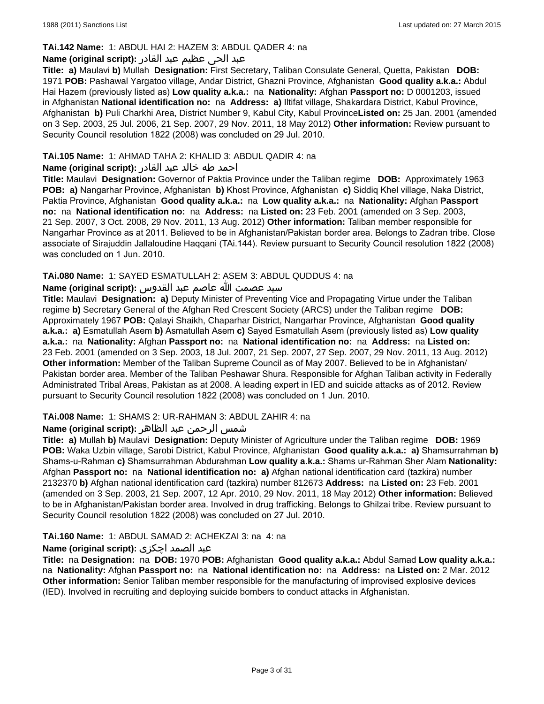# **TAi.142 Name:** 1: ABDUL HAI 2: HAZEM 3: ABDUL QADER 4: na

### عبد الحی عظیم عبد القادر **:(script original (Name**

**Title: a)** Maulavi **b)** Mullah **Designation:** First Secretary, Taliban Consulate General, Quetta, Pakistan **DOB:** 1971 **POB:** Pashawal Yargatoo village, Andar District, Ghazni Province, Afghanistan **Good quality a.k.a.:** Abdul Hai Hazem (previously listed as) **Low quality a.k.a.:** na **Nationality:** Afghan **Passport no:** D 0001203, issued in Afghanistan **National identification no:** na **Address: a)** Iltifat village, Shakardara District, Kabul Province, Afghanistan **b)** Puli Charkhi Area, District Number 9, Kabul City, Kabul Province**Listed on:** 25 Jan. 2001 (amended on 3 Sep. 2003, 25 Jul. 2006, 21 Sep. 2007, 29 Nov. 2011, 18 May 2012) **Other information:** Review pursuant to Security Council resolution 1822 (2008) was concluded on 29 Jul. 2010.

# **TAi.105 Name:** 1: AHMAD TAHA 2: KHALID 3: ABDUL QADIR 4: na

# احمد طه خالد عبد القادر **:(script original (Name**

**Title:** Maulavi **Designation:** Governor of Paktia Province under the Taliban regime **DOB:** Approximately 1963 **POB: a)** Nangarhar Province, Afghanistan **b)** Khost Province, Afghanistan **c)** Siddiq Khel village, Naka District, Paktia Province, Afghanistan **Good quality a.k.a.:** na **Low quality a.k.a.:** na **Nationality:** Afghan **Passport no:** na **National identification no:** na **Address:** na **Listed on:** 23 Feb. 2001 (amended on 3 Sep. 2003, 21 Sep. 2007, 3 Oct. 2008, 29 Nov. 2011, 13 Aug. 2012) **Other information:** Taliban member responsible for Nangarhar Province as at 2011. Believed to be in Afghanistan/Pakistan border area. Belongs to Zadran tribe. Close associate of Sirajuddin Jallaloudine Haqqani (TAi.144). Review pursuant to Security Council resolution 1822 (2008) was concluded on 1 Jun. 2010.

### **TAi.080 Name:** 1: SAYED ESMATULLAH 2: ASEM 3: ABDUL QUDDUS 4: na

# سید عصمت الله عاصم عبد القدوس **:(script original (Name**

**Title:** Maulavi **Designation: a)** Deputy Minister of Preventing Vice and Propagating Virtue under the Taliban regime **b)** Secretary General of the Afghan Red Crescent Society (ARCS) under the Taliban regime **DOB:**  Approximately 1967 **POB:** Qalayi Shaikh, Chaparhar District, Nangarhar Province, Afghanistan **Good quality a.k.a.: a)** Esmatullah Asem **b)** Asmatullah Asem **c)** Sayed Esmatullah Asem (previously listed as) **Low quality a.k.a.:** na **Nationality:** Afghan **Passport no:** na **National identification no:** na **Address:** na **Listed on:** 23 Feb. 2001 (amended on 3 Sep. 2003, 18 Jul. 2007, 21 Sep. 2007, 27 Sep. 2007, 29 Nov. 2011, 13 Aug. 2012) **Other information:** Member of the Taliban Supreme Council as of May 2007. Believed to be in Afghanistan/ Pakistan border area. Member of the Taliban Peshawar Shura. Responsible for Afghan Taliban activity in Federally Administrated Tribal Areas, Pakistan as at 2008. A leading expert in IED and suicide attacks as of 2012. Review pursuant to Security Council resolution 1822 (2008) was concluded on 1 Jun. 2010.

#### **TAi.008 Name:** 1: SHAMS 2: UR-RAHMAN 3: ABDUL ZAHIR 4: na

# شمس الرحمن عبد الظاهر **:(script original (Name**

**Title: a)** Mullah **b)** Maulavi **Designation:** Deputy Minister of Agriculture under the Taliban regime **DOB:** 1969 **POB:** Waka Uzbin village, Sarobi District, Kabul Province, Afghanistan **Good quality a.k.a.: a)** Shamsurrahman **b)** Shams-u-Rahman **c)** Shamsurrahman Abdurahman **Low quality a.k.a.:** Shams ur-Rahman Sher Alam **Nationality:** Afghan **Passport no:** na **National identification no: a)** Afghan national identification card (tazkira) number 2132370 **b)** Afghan national identification card (tazkira) number 812673 **Address:** na **Listed on:** 23 Feb. 2001 (amended on 3 Sep. 2003, 21 Sep. 2007, 12 Apr. 2010, 29 Nov. 2011, 18 May 2012) **Other information:** Believed to be in Afghanistan/Pakistan border area. Involved in drug trafficking. Belongs to Ghilzai tribe. Review pursuant to Security Council resolution 1822 (2008) was concluded on 27 Jul. 2010.

# **TAi.160 Name:** 1: ABDUL SAMAD 2: ACHEKZAI 3: na 4: na

# عبد الصمد اچکزی **:(script original (Name**

**Title:** na **Designation:** na **DOB:** 1970 **POB:** Afghanistan **Good quality a.k.a.:** Abdul Samad **Low quality a.k.a.:**  na **Nationality:** Afghan **Passport no:** na **National identification no:** na **Address:** na **Listed on:** 2 Mar. 2012 **Other information:** Senior Taliban member responsible for the manufacturing of improvised explosive devices (IED). Involved in recruiting and deploying suicide bombers to conduct attacks in Afghanistan.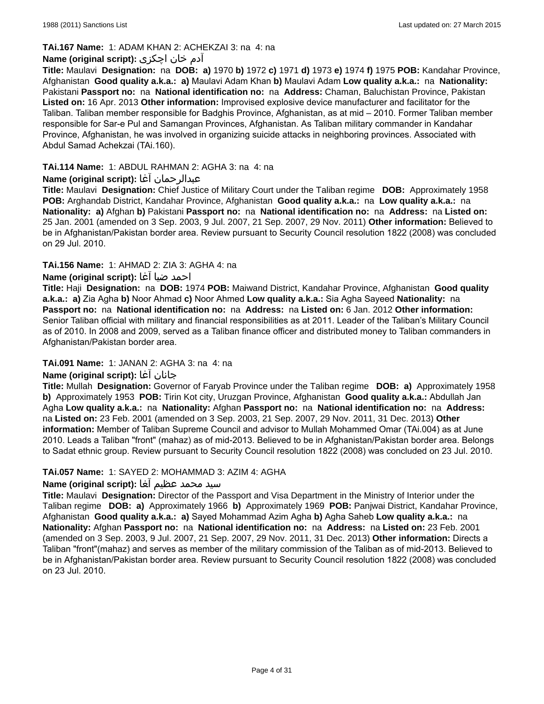# **TAi.167 Name:** 1: ADAM KHAN 2: ACHEKZAI 3: na 4: na

# آدم خان اچکزی **:(script original (Name**

**Title:** Maulavi **Designation:** na **DOB: a)** 1970 **b)** 1972 **c)** 1971 **d)** 1973 **e)** 1974 **f)** 1975 **POB:** Kandahar Province, Afghanistan **Good quality a.k.a.: a)** Maulavi Adam Khan **b)** Maulavi Adam **Low quality a.k.a.:** na **Nationality:** Pakistani **Passport no:** na **National identification no:** na **Address:** Chaman, Baluchistan Province, Pakistan **Listed on:** 16 Apr. 2013 **Other information:** Improvised explosive device manufacturer and facilitator for the Taliban. Taliban member responsible for Badghis Province, Afghanistan, as at mid – 2010. Former Taliban member responsible for Sar-e Pul and Samangan Provinces, Afghanistan. As Taliban military commander in Kandahar Province, Afghanistan, he was involved in organizing suicide attacks in neighboring provinces. Associated with Abdul Samad Achekzai (TAi.160).

# **TAi.114 Name:** 1: ABDUL RAHMAN 2: AGHA 3: na 4: na

# **Name (original script):** آغا عبدالرحمان

**Title:** Maulavi **Designation:** Chief Justice of Military Court under the Taliban regime **DOB:** Approximately 1958 **POB:** Arghandab District, Kandahar Province, Afghanistan **Good quality a.k.a.:** na **Low quality a.k.a.:** na **Nationality: a)** Afghan **b)** Pakistani **Passport no:** na **National identification no:** na **Address:** na **Listed on:** 25 Jan. 2001 (amended on 3 Sep. 2003, 9 Jul. 2007, 21 Sep. 2007, 29 Nov. 2011) **Other information:** Believed to be in Afghanistan/Pakistan border area. Review pursuant to Security Council resolution 1822 (2008) was concluded on 29 Jul. 2010.

### **TAi.156 Name:** 1: AHMAD 2: ZIA 3: AGHA 4: na

### احمد ضیا آغا **:(script original (Name**

**Title:** Haji **Designation:** na **DOB:** 1974 **POB:** Maiwand District, Kandahar Province, Afghanistan **Good quality a.k.a.: a)** Zia Agha **b)** Noor Ahmad **c)** Noor Ahmed **Low quality a.k.a.:** Sia Agha Sayeed **Nationality:** na **Passport no:** na **National identification no:** na **Address:** na **Listed on:** 6 Jan. 2012 **Other information:** Senior Taliban official with military and financial responsibilities as at 2011. Leader of the Taliban's Military Council as of 2010. In 2008 and 2009, served as a Taliban finance officer and distributed money to Taliban commanders in Afghanistan/Pakistan border area.

# **TAi.091 Name:** 1: JANAN 2: AGHA 3: na 4: na

#### **Name (original script):** آغا جانان

**Title:** Mullah **Designation:** Governor of Faryab Province under the Taliban regime **DOB: a)** Approximately 1958 **b)** Approximately 1953 **POB:** Tirin Kot city, Uruzgan Province, Afghanistan **Good quality a.k.a.:** Abdullah Jan Agha **Low quality a.k.a.:** na **Nationality:** Afghan **Passport no:** na **National identification no:** na **Address:**  na **Listed on:** 23 Feb. 2001 (amended on 3 Sep. 2003, 21 Sep. 2007, 29 Nov. 2011, 31 Dec. 2013) **Other information:** Member of Taliban Supreme Council and advisor to Mullah Mohammed Omar (TAi.004) as at June 2010. Leads a Taliban "front" (mahaz) as of mid-2013. Believed to be in Afghanistan/Pakistan border area. Belongs to Sadat ethnic group. Review pursuant to Security Council resolution 1822 (2008) was concluded on 23 Jul. 2010.

#### **TAi.057 Name:** 1: SAYED 2: MOHAMMAD 3: AZIM 4: AGHA

# سید محمد عظیم آغا **:(script original (Name**

**Title:** Maulavi **Designation:** Director of the Passport and Visa Department in the Ministry of Interior under the Taliban regime **DOB: a)** Approximately 1966 **b)** Approximately 1969 **POB:** Panjwai District, Kandahar Province, Afghanistan **Good quality a.k.a.: a)** Sayed Mohammad Azim Agha **b)** Agha Saheb **Low quality a.k.a.:** na **Nationality:** Afghan **Passport no:** na **National identification no:** na **Address:** na **Listed on:** 23 Feb. 2001 (amended on 3 Sep. 2003, 9 Jul. 2007, 21 Sep. 2007, 29 Nov. 2011, 31 Dec. 2013) **Other information:** Directs a Taliban "front"(mahaz) and serves as member of the military commission of the Taliban as of mid-2013. Believed to be in Afghanistan/Pakistan border area. Review pursuant to Security Council resolution 1822 (2008) was concluded on 23 Jul. 2010.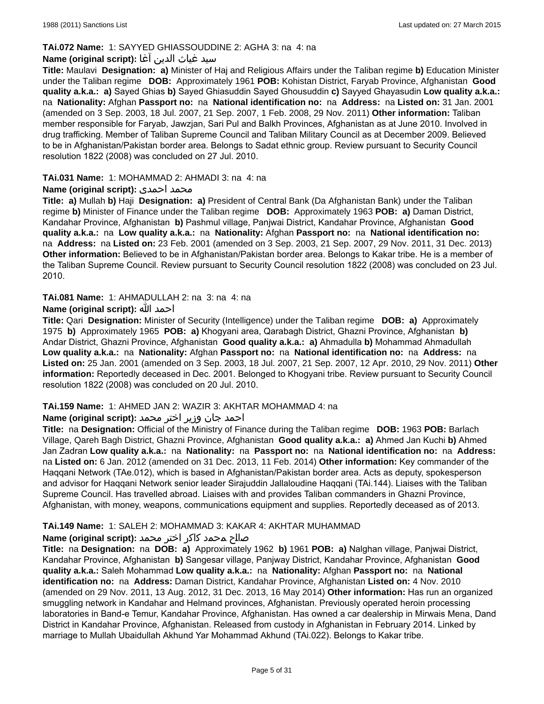# **TAi.072 Name:** 1: SAYYED GHIASSOUDDINE 2: AGHA 3: na 4: na

### سيد غیاث الدین آغا **:(script original (Name**

**Title:** Maulavi **Designation: a)** Minister of Haj and Religious Affairs under the Taliban regime **b)** Education Minister under the Taliban regime **DOB:** Approximately 1961 **POB:** Kohistan District, Faryab Province, Afghanistan **Good quality a.k.a.: a)** Sayed Ghias **b)** Sayed Ghiasuddin Sayed Ghousuddin **c)** Sayyed Ghayasudin **Low quality a.k.a.:** na **Nationality:** Afghan **Passport no:** na **National identification no:** na **Address:** na **Listed on:** 31 Jan. 2001 (amended on 3 Sep. 2003, 18 Jul. 2007, 21 Sep. 2007, 1 Feb. 2008, 29 Nov. 2011) **Other information:** Taliban member responsible for Faryab, Jawzjan, Sari Pul and Balkh Provinces, Afghanistan as at June 2010. Involved in drug trafficking. Member of Taliban Supreme Council and Taliban Military Council as at December 2009. Believed to be in Afghanistan/Pakistan border area. Belongs to Sadat ethnic group. Review pursuant to Security Council resolution 1822 (2008) was concluded on 27 Jul. 2010.

### **TAi.031 Name:** 1: MOHAMMAD 2: AHMADI 3: na 4: na

### **Name (original script):** احمدی محمد

**Title: a)** Mullah **b)** Haji **Designation: a)** President of Central Bank (Da Afghanistan Bank) under the Taliban regime **b)** Minister of Finance under the Taliban regime **DOB:** Approximately 1963 **POB: a)** Daman District, Kandahar Province, Afghanistan **b)** Pashmul village, Panjwai District, Kandahar Province, Afghanistan **Good quality a.k.a.:** na **Low quality a.k.a.:** na **Nationality:** Afghan **Passport no:** na **National identification no:**  na **Address:** na **Listed on:** 23 Feb. 2001 (amended on 3 Sep. 2003, 21 Sep. 2007, 29 Nov. 2011, 31 Dec. 2013) **Other information:** Believed to be in Afghanistan/Pakistan border area. Belongs to Kakar tribe. He is a member of the Taliban Supreme Council. Review pursuant to Security Council resolution 1822 (2008) was concluded on 23 Jul. 2010.

### **TAi.081 Name:** 1: AHMADULLAH 2: na 3: na 4: na

### **Name (original script):** الله احمد

**Title:** Qari **Designation:** Minister of Security (Intelligence) under the Taliban regime **DOB: a)** Approximately 1975 **b)** Approximately 1965 **POB: a)** Khogyani area, Qarabagh District, Ghazni Province, Afghanistan **b)** Andar District, Ghazni Province, Afghanistan **Good quality a.k.a.: a)** Ahmadulla **b)** Mohammad Ahmadullah **Low quality a.k.a.:** na **Nationality:** Afghan **Passport no:** na **National identification no:** na **Address:** na **Listed on:** 25 Jan. 2001 (amended on 3 Sep. 2003, 18 Jul. 2007, 21 Sep. 2007, 12 Apr. 2010, 29 Nov. 2011) **Other information:** Reportedly deceased in Dec. 2001. Belonged to Khogyani tribe. Review pursuant to Security Council resolution 1822 (2008) was concluded on 20 Jul. 2010.

# **TAi.159 Name:** 1: AHMED JAN 2: WAZIR 3: AKHTAR MOHAMMAD 4: na

#### احمد جان وزیر اختر محمد **:(script original (Name**

**Title:** na **Designation:** Official of the Ministry of Finance during the Taliban regime **DOB:** 1963 **POB:** Barlach Village, Qareh Bagh District, Ghazni Province, Afghanistan **Good quality a.k.a.: a)** Ahmed Jan Kuchi **b)** Ahmed Jan Zadran **Low quality a.k.a.:** na **Nationality:** na **Passport no:** na **National identification no:** na **Address:**  na **Listed on:** 6 Jan. 2012 (amended on 31 Dec. 2013, 11 Feb. 2014) **Other information:** Key commander of the Haqqani Network (TAe.012), which is based in Afghanistan/Pakistan border area. Acts as deputy, spokesperson and advisor for Haqqani Network senior leader Sirajuddin Jallaloudine Haqqani (TAi.144). Liaises with the Taliban Supreme Council. Has travelled abroad. Liaises with and provides Taliban commanders in Ghazni Province, Afghanistan, with money, weapons, communications equipment and supplies. Reportedly deceased as of 2013.

# **TAi.149 Name:** 1: SALEH 2: MOHAMMAD 3: KAKAR 4: AKHTAR MUHAMMAD

# صالح محمد كاكر اختر محمد **:Name (original script)**

**Title:** na **Designation:** na **DOB: a)** Approximately 1962 **b)** 1961 **POB: a)** Nalghan village, Panjwai District, Kandahar Province, Afghanistan **b)** Sangesar village, Panjway District, Kandahar Province, Afghanistan **Good quality a.k.a.:** Saleh Mohammad **Low quality a.k.a.:** na **Nationality:** Afghan **Passport no:** na **National identification no:** na **Address:** Daman District, Kandahar Province, Afghanistan **Listed on:** 4 Nov. 2010 (amended on 29 Nov. 2011, 13 Aug. 2012, 31 Dec. 2013, 16 May 2014) **Other information:** Has run an organized smuggling network in Kandahar and Helmand provinces, Afghanistan. Previously operated heroin processing laboratories in Band-e Temur, Kandahar Province, Afghanistan. Has owned a car dealership in Mirwais Mena, Dand District in Kandahar Province, Afghanistan. Released from custody in Afghanistan in February 2014. Linked by marriage to Mullah Ubaidullah Akhund Yar Mohammad Akhund (TAi.022). Belongs to Kakar tribe.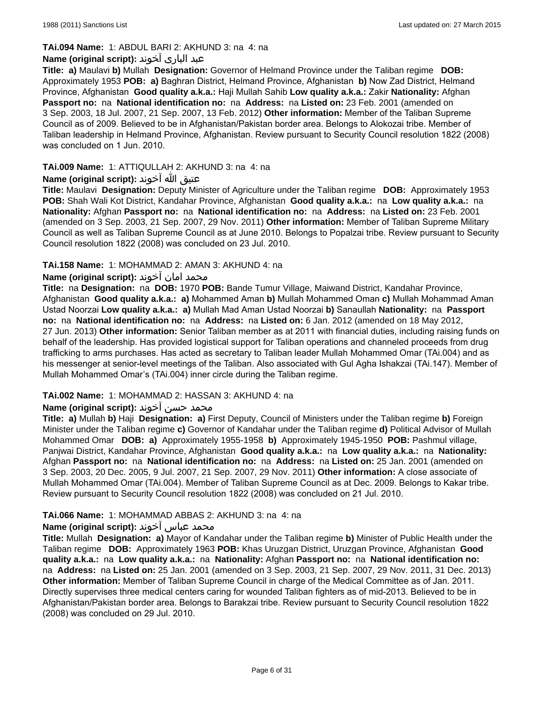# **TAi.094 Name:** 1: ABDUL BARI 2: AKHUND 3: na 4: na

# عبد الباری آخوند **:(script original (Name**

**Title: a)** Maulavi **b)** Mullah **Designation:** Governor of Helmand Province under the Taliban regime **DOB:**  Approximately 1953 **POB: a)** Baghran District, Helmand Province, Afghanistan **b)** Now Zad District, Helmand Province, Afghanistan **Good quality a.k.a.:** Haji Mullah Sahib **Low quality a.k.a.:** Zakir **Nationality:** Afghan **Passport no:** na **National identification no:** na **Address:** na **Listed on:** 23 Feb. 2001 (amended on 3 Sep. 2003, 18 Jul. 2007, 21 Sep. 2007, 13 Feb. 2012) **Other information:** Member of the Taliban Supreme Council as of 2009. Believed to be in Afghanistan/Pakistan border area. Belongs to Alokozai tribe. Member of Taliban leadership in Helmand Province, Afghanistan. Review pursuant to Security Council resolution 1822 (2008) was concluded on 1 Jun. 2010.

# **TAi.009 Name:** 1: ATTIQULLAH 2: AKHUND 3: na 4: na

## عتیق الله آخوند **:(script original (Name**

**Title:** Maulavi **Designation:** Deputy Minister of Agriculture under the Taliban regime **DOB:** Approximately 1953 **POB:** Shah Wali Kot District, Kandahar Province, Afghanistan **Good quality a.k.a.:** na **Low quality a.k.a.:** na **Nationality:** Afghan **Passport no:** na **National identification no:** na **Address:** na **Listed on:** 23 Feb. 2001 (amended on 3 Sep. 2003, 21 Sep. 2007, 29 Nov. 2011) **Other information:** Member of Taliban Supreme Military Council as well as Taliban Supreme Council as at June 2010. Belongs to Popalzai tribe. Review pursuant to Security Council resolution 1822 (2008) was concluded on 23 Jul. 2010.

### **TAi.158 Name:** 1: MOHAMMAD 2: AMAN 3: AKHUND 4: na

### **محمد امان اخوند :(Name (original script**

**Title:** na **Designation:** na **DOB:** 1970 **POB:** Bande Tumur Village, Maiwand District, Kandahar Province, Afghanistan **Good quality a.k.a.: a)** Mohammed Aman **b)** Mullah Mohammed Oman **c)** Mullah Mohammad Aman Ustad Noorzai **Low quality a.k.a.: a)** Mullah Mad Aman Ustad Noorzai **b)** Sanaullah **Nationality:** na **Passport no:** na **National identification no:** na **Address:** na **Listed on:** 6 Jan. 2012 (amended on 18 May 2012, 27 Jun. 2013) **Other information:** Senior Taliban member as at 2011 with financial duties, including raising funds on behalf of the leadership. Has provided logistical support for Taliban operations and channeled proceeds from drug trafficking to arms purchases. Has acted as secretary to Taliban leader Mullah Mohammed Omar (TAi.004) and as his messenger at senior-level meetings of the Taliban. Also associated with Gul Agha Ishakzai (TAi.147). Member of Mullah Mohammed Omar's (TAi.004) inner circle during the Taliban regime.

#### **TAi.002 Name:** 1: MOHAMMAD 2: HASSAN 3: AKHUND 4: na

# محمد حسن آخوند **:Name (original script)**

**Title: a)** Mullah **b)** Haji **Designation: a)** First Deputy, Council of Ministers under the Taliban regime **b)** Foreign Minister under the Taliban regime **c)** Governor of Kandahar under the Taliban regime **d)** Political Advisor of Mullah Mohammed Omar **DOB: a)** Approximately 1955-1958 **b)** Approximately 1945-1950 **POB:** Pashmul village, Panjwai District, Kandahar Province, Afghanistan **Good quality a.k.a.:** na **Low quality a.k.a.:** na **Nationality:** Afghan **Passport no:** na **National identification no:** na **Address:** na **Listed on:** 25 Jan. 2001 (amended on 3 Sep. 2003, 20 Dec. 2005, 9 Jul. 2007, 21 Sep. 2007, 29 Nov. 2011) **Other information:** A close associate of Mullah Mohammed Omar (TAi.004). Member of Taliban Supreme Council as at Dec. 2009. Belongs to Kakar tribe. Review pursuant to Security Council resolution 1822 (2008) was concluded on 21 Jul. 2010.

#### **TAi.066 Name:** 1: MOHAMMAD ABBAS 2: AKHUND 3: na 4: na

#### محمد عباس آخوند **:Name (original script**)

**Title:** Mullah **Designation: a)** Mayor of Kandahar under the Taliban regime **b)** Minister of Public Health under the Taliban regime **DOB:** Approximately 1963 **POB:** Khas Uruzgan District, Uruzgan Province, Afghanistan **Good quality a.k.a.:** na **Low quality a.k.a.:** na **Nationality:** Afghan **Passport no:** na **National identification no:**  na **Address:** na **Listed on:** 25 Jan. 2001 (amended on 3 Sep. 2003, 21 Sep. 2007, 29 Nov. 2011, 31 Dec. 2013) **Other information:** Member of Taliban Supreme Council in charge of the Medical Committee as of Jan. 2011. Directly supervises three medical centers caring for wounded Taliban fighters as of mid-2013. Believed to be in Afghanistan/Pakistan border area. Belongs to Barakzai tribe. Review pursuant to Security Council resolution 1822 (2008) was concluded on 29 Jul. 2010.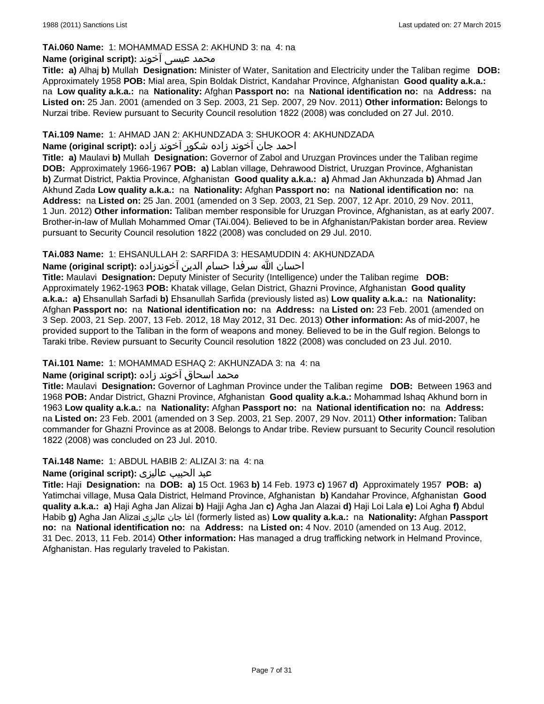### **TAi.060 Name:** 1: MOHAMMAD ESSA 2: AKHUND 3: na 4: na

## محمد عیسی آخوند **:Name (original script)**

**Title: a)** Alhaj **b)** Mullah **Designation:** Minister of Water, Sanitation and Electricity under the Taliban regime **DOB:** Approximately 1958 **POB:** Mial area, Spin Boldak District, Kandahar Province, Afghanistan **Good quality a.k.a.:**  na **Low quality a.k.a.:** na **Nationality:** Afghan **Passport no:** na **National identification no:** na **Address:** na **Listed on:** 25 Jan. 2001 (amended on 3 Sep. 2003, 21 Sep. 2007, 29 Nov. 2011) **Other information:** Belongs to Nurzai tribe. Review pursuant to Security Council resolution 1822 (2008) was concluded on 27 Jul. 2010.

### **TAi.109 Name:** 1: AHMAD JAN 2: AKHUNDZADA 3: SHUKOOR 4: AKHUNDZADA

## احمد جان آخوند زاده شكور آخوند زاده **:(script original (Name**

**Title: a)** Maulavi **b)** Mullah **Designation:** Governor of Zabol and Uruzgan Provinces under the Taliban regime **DOB:** Approximately 1966-1967 **POB: a)** Lablan village, Dehrawood District, Uruzgan Province, Afghanistan **b)** Zurmat District, Paktia Province, Afghanistan **Good quality a.k.a.: a)** Ahmad Jan Akhunzada **b)** Ahmad Jan Akhund Zada **Low quality a.k.a.:** na **Nationality:** Afghan **Passport no:** na **National identification no:** na **Address:** na **Listed on:** 25 Jan. 2001 (amended on 3 Sep. 2003, 21 Sep. 2007, 12 Apr. 2010, 29 Nov. 2011, 1 Jun. 2012) **Other information:** Taliban member responsible for Uruzgan Province, Afghanistan, as at early 2007. Brother-in-law of Mullah Mohammed Omar (TAi.004). Believed to be in Afghanistan/Pakistan border area. Review pursuant to Security Council resolution 1822 (2008) was concluded on 29 Jul. 2010.

### **TAi.083 Name:** 1: EHSANULLAH 2: SARFIDA 3: HESAMUDDIN 4: AKHUNDZADA

# احسان الله سرفدا حسام الدین آخوندزاده **:(script original (Name**

**Title:** Maulavi **Designation:** Deputy Minister of Security (Intelligence) under the Taliban regime **DOB:**  Approximately 1962-1963 **POB:** Khatak village, Gelan District, Ghazni Province, Afghanistan **Good quality a.k.a.: a)** Ehsanullah Sarfadi **b)** Ehsanullah Sarfida (previously listed as) **Low quality a.k.a.:** na **Nationality:** Afghan **Passport no:** na **National identification no:** na **Address:** na **Listed on:** 23 Feb. 2001 (amended on 3 Sep. 2003, 21 Sep. 2007, 13 Feb. 2012, 18 May 2012, 31 Dec. 2013) **Other information:** As of mid-2007, he provided support to the Taliban in the form of weapons and money. Believed to be in the Gulf region. Belongs to Taraki tribe. Review pursuant to Security Council resolution 1822 (2008) was concluded on 23 Jul. 2010.

#### **TAi.101 Name:** 1: MOHAMMAD ESHAQ 2: AKHUNZADA 3: na 4: na

#### محمد اسحاق اخوند زاده **:Name (original script**)

**Title:** Maulavi **Designation:** Governor of Laghman Province under the Taliban regime **DOB:** Between 1963 and 1968 **POB:** Andar District, Ghazni Province, Afghanistan **Good quality a.k.a.:** Mohammad Ishaq Akhund born in 1963 **Low quality a.k.a.:** na **Nationality:** Afghan **Passport no:** na **National identification no:** na **Address:**  na **Listed on:** 23 Feb. 2001 (amended on 3 Sep. 2003, 21 Sep. 2007, 29 Nov. 2011) **Other information:** Taliban commander for Ghazni Province as at 2008. Belongs to Andar tribe. Review pursuant to Security Council resolution 1822 (2008) was concluded on 23 Jul. 2010.

#### **TAi.148 Name:** 1: ABDUL HABIB 2: ALIZAI 3: na 4: na

# عبد الحبیب عالیزی **:(script original (Name**

**Title:** Haji **Designation:** na **DOB: a)** 15 Oct. 1963 **b)** 14 Feb. 1973 **c)** 1967 **d)** Approximately 1957 **POB: a)** Yatimchai village, Musa Qala District, Helmand Province, Afghanistan **b)** Kandahar Province, Afghanistan **Good quality a.k.a.: a)** Haji Agha Jan Alizai **b)** Hajji Agha Jan **c)** Agha Jan Alazai **d)** Haji Loi Lala **e)** Loi Agha **f)** Abdul Habib **g)** Agha Jan Alizai عالیزی جان اغا) formerly listed as) **Low quality a.k.a.:** na **Nationality:** Afghan **Passport no:** na **National identification no:** na **Address:** na **Listed on:** 4 Nov. 2010 (amended on 13 Aug. 2012, 31 Dec. 2013, 11 Feb. 2014) **Other information:** Has managed a drug trafficking network in Helmand Province, Afghanistan. Has regularly traveled to Pakistan.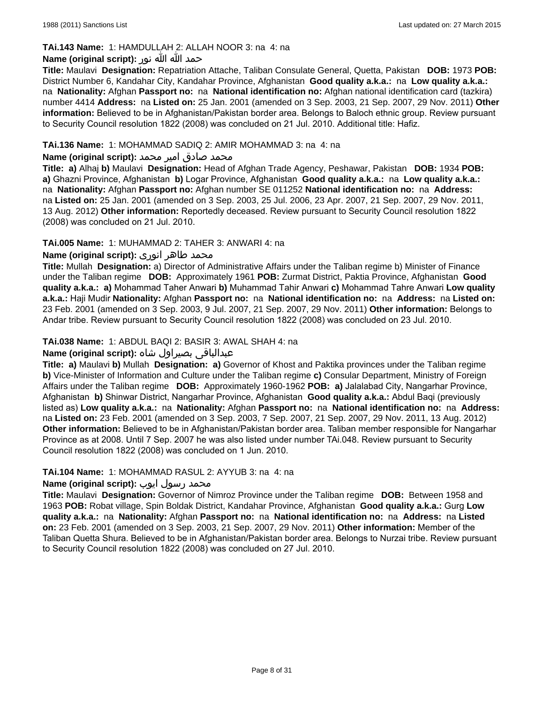## **TAi.143 Name:** 1: HAMDULLAH 2: ALLAH NOOR 3: na 4: na

## حمد الله الله نور **:(script original (Name**

**Title:** Maulavi **Designation:** Repatriation Attache, Taliban Consulate General, Quetta, Pakistan **DOB:** 1973 **POB:** District Number 6, Kandahar City, Kandahar Province, Afghanistan **Good quality a.k.a.:** na **Low quality a.k.a.:**  na **Nationality:** Afghan **Passport no:** na **National identification no:** Afghan national identification card (tazkira) number 4414 **Address:** na **Listed on:** 25 Jan. 2001 (amended on 3 Sep. 2003, 21 Sep. 2007, 29 Nov. 2011) **Other information:** Believed to be in Afghanistan/Pakistan border area. Belongs to Baloch ethnic group. Review pursuant to Security Council resolution 1822 (2008) was concluded on 21 Jul. 2010. Additional title: Hafiz.

### **TAi.136 Name:** 1: MOHAMMAD SADIQ 2: AMIR MOHAMMAD 3: na 4: na

#### محمد صادق امیر محمد **:(Name (original script**

**Title: a)** Alhaj **b)** Maulavi **Designation:** Head of Afghan Trade Agency, Peshawar, Pakistan **DOB:** 1934 **POB: a)** Ghazni Province, Afghanistan **b)** Logar Province, Afghanistan **Good quality a.k.a.:** na **Low quality a.k.a.:**  na **Nationality:** Afghan **Passport no:** Afghan number SE 011252 **National identification no:** na **Address:**  na **Listed on:** 25 Jan. 2001 (amended on 3 Sep. 2003, 25 Jul. 2006, 23 Apr. 2007, 21 Sep. 2007, 29 Nov. 2011, 13 Aug. 2012) **Other information:** Reportedly deceased. Review pursuant to Security Council resolution 1822 (2008) was concluded on 21 Jul. 2010.

### **TAi.005 Name:** 1: MUHAMMAD 2: TAHER 3: ANWARI 4: na

### محمد طاهر انوری **:(Name (original script**

**Title:** Mullah **Designation:** a) Director of Administrative Affairs under the Taliban regime b) Minister of Finance under the Taliban regime **DOB:** Approximately 1961 **POB:** Zurmat District, Paktia Province, Afghanistan **Good quality a.k.a.: a)** Mohammad Taher Anwari **b)** Muhammad Tahir Anwari **c)** Mohammad Tahre Anwari **Low quality a.k.a.:** Haji Mudir **Nationality:** Afghan **Passport no:** na **National identification no:** na **Address:** na **Listed on:** 23 Feb. 2001 (amended on 3 Sep. 2003, 9 Jul. 2007, 21 Sep. 2007, 29 Nov. 2011) **Other information:** Belongs to Andar tribe. Review pursuant to Security Council resolution 1822 (2008) was concluded on 23 Jul. 2010.

### **TAi.038 Name:** 1: ABDUL BAQI 2: BASIR 3: AWAL SHAH 4: na

# عبدالباقی بصیراول شاه **:(script original (Name**

**Title: a)** Maulavi **b)** Mullah **Designation: a)** Governor of Khost and Paktika provinces under the Taliban regime **b)** Vice-Minister of Information and Culture under the Taliban regime **c)** Consular Department, Ministry of Foreign Affairs under the Taliban regime **DOB:** Approximately 1960-1962 **POB: a)** Jalalabad City, Nangarhar Province, Afghanistan **b)** Shinwar District, Nangarhar Province, Afghanistan **Good quality a.k.a.:** Abdul Baqi (previously listed as) **Low quality a.k.a.:** na **Nationality:** Afghan **Passport no:** na **National identification no:** na **Address:** na **Listed on:** 23 Feb. 2001 (amended on 3 Sep. 2003, 7 Sep. 2007, 21 Sep. 2007, 29 Nov. 2011, 13 Aug. 2012) **Other information:** Believed to be in Afghanistan/Pakistan border area. Taliban member responsible for Nangarhar Province as at 2008. Until 7 Sep. 2007 he was also listed under number TAi.048. Review pursuant to Security Council resolution 1822 (2008) was concluded on 1 Jun. 2010.

#### **TAi.104 Name:** 1: MOHAMMAD RASUL 2: AYYUB 3: na 4: na

# محمد رسول ایوب **:(Name (original script**

**Title:** Maulavi **Designation:** Governor of Nimroz Province under the Taliban regime **DOB:** Between 1958 and 1963 **POB:** Robat village, Spin Boldak District, Kandahar Province, Afghanistan **Good quality a.k.a.:** Gurg **Low quality a.k.a.:** na **Nationality:** Afghan **Passport no:** na **National identification no:** na **Address:** na **Listed on:** 23 Feb. 2001 (amended on 3 Sep. 2003, 21 Sep. 2007, 29 Nov. 2011) **Other information:** Member of the Taliban Quetta Shura. Believed to be in Afghanistan/Pakistan border area. Belongs to Nurzai tribe. Review pursuant to Security Council resolution 1822 (2008) was concluded on 27 Jul. 2010.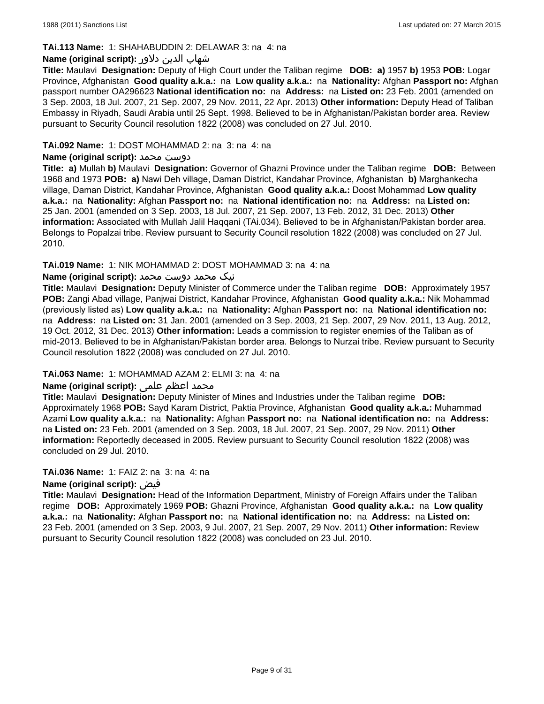### **TAi.113 Name:** 1: SHAHABUDDIN 2: DELAWAR 3: na 4: na

### شهاب الدين دلاور **:(script original (Name**

**Title:** Maulavi **Designation:** Deputy of High Court under the Taliban regime **DOB: a)** 1957 **b)** 1953 **POB:** Logar Province, Afghanistan **Good quality a.k.a.:** na **Low quality a.k.a.:** na **Nationality:** Afghan **Passport no:** Afghan passport number OA296623 **National identification no:** na **Address:** na **Listed on:** 23 Feb. 2001 (amended on 3 Sep. 2003, 18 Jul. 2007, 21 Sep. 2007, 29 Nov. 2011, 22 Apr. 2013) **Other information:** Deputy Head of Taliban Embassy in Riyadh, Saudi Arabia until 25 Sept. 1998. Believed to be in Afghanistan/Pakistan border area. Review pursuant to Security Council resolution 1822 (2008) was concluded on 27 Jul. 2010.

### **TAi.092 Name:** 1: DOST MOHAMMAD 2: na 3: na 4: na

### **Name (original script):** محمد دوست

**Title: a)** Mullah **b)** Maulavi **Designation:** Governor of Ghazni Province under the Taliban regime **DOB:** Between 1968 and 1973 **POB: a)** Nawi Deh village, Daman District, Kandahar Province, Afghanistan **b)** Marghankecha village, Daman District, Kandahar Province, Afghanistan **Good quality a.k.a.:** Doost Mohammad **Low quality a.k.a.:** na **Nationality:** Afghan **Passport no:** na **National identification no:** na **Address:** na **Listed on:** 25 Jan. 2001 (amended on 3 Sep. 2003, 18 Jul. 2007, 21 Sep. 2007, 13 Feb. 2012, 31 Dec. 2013) **Other information:** Associated with Mullah Jalil Haqqani (TAi.034). Believed to be in Afghanistan/Pakistan border area. Belongs to Popalzai tribe. Review pursuant to Security Council resolution 1822 (2008) was concluded on 27 Jul. 2010.

### **TAi.019 Name:** 1: NIK MOHAMMAD 2: DOST MOHAMMAD 3: na 4: na

### نیک محمد دوست محمد **:(script original (Name**

**Title:** Maulavi **Designation:** Deputy Minister of Commerce under the Taliban regime **DOB:** Approximately 1957 **POB:** Zangi Abad village, Panjwai District, Kandahar Province, Afghanistan **Good quality a.k.a.:** Nik Mohammad (previously listed as) **Low quality a.k.a.:** na **Nationality:** Afghan **Passport no:** na **National identification no:**  na **Address:** na **Listed on:** 31 Jan. 2001 (amended on 3 Sep. 2003, 21 Sep. 2007, 29 Nov. 2011, 13 Aug. 2012, 19 Oct. 2012, 31 Dec. 2013) **Other information:** Leads a commission to register enemies of the Taliban as of mid-2013. Believed to be in Afghanistan/Pakistan border area. Belongs to Nurzai tribe. Review pursuant to Security Council resolution 1822 (2008) was concluded on 27 Jul. 2010.

#### **TAi.063 Name:** 1: MOHAMMAD AZAM 2: ELMI 3: na 4: na

# محمد اعظم علمی **:(Name (original script**

**Title:** Maulavi **Designation:** Deputy Minister of Mines and Industries under the Taliban regime **DOB:**  Approximately 1968 **POB:** Sayd Karam District, Paktia Province, Afghanistan **Good quality a.k.a.:** Muhammad Azami **Low quality a.k.a.:** na **Nationality:** Afghan **Passport no:** na **National identification no:** na **Address:**  na **Listed on:** 23 Feb. 2001 (amended on 3 Sep. 2003, 18 Jul. 2007, 21 Sep. 2007, 29 Nov. 2011) **Other information:** Reportedly deceased in 2005. Review pursuant to Security Council resolution 1822 (2008) was concluded on 29 Jul. 2010.

#### **TAi.036 Name:** 1: FAIZ 2: na 3: na 4: na

#### **Name (original script):** فیض

**Title:** Maulavi **Designation:** Head of the Information Department, Ministry of Foreign Affairs under the Taliban regime **DOB:** Approximately 1969 **POB:** Ghazni Province, Afghanistan **Good quality a.k.a.:** na **Low quality a.k.a.:** na **Nationality:** Afghan **Passport no:** na **National identification no:** na **Address:** na **Listed on:** 23 Feb. 2001 (amended on 3 Sep. 2003, 9 Jul. 2007, 21 Sep. 2007, 29 Nov. 2011) **Other information:** Review pursuant to Security Council resolution 1822 (2008) was concluded on 23 Jul. 2010.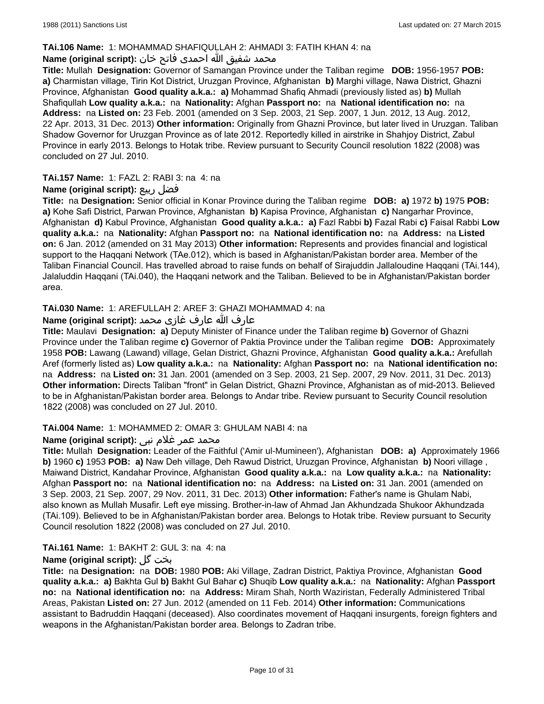### **TAi.106 Name:** 1: MOHAMMAD SHAFIQULLAH 2: AHMADI 3: FATIH KHAN 4: na

# محمد شفیق الله احمدی فاتح خان **:Name (original script**)

**Title:** Mullah **Designation:** Governor of Samangan Province under the Taliban regime **DOB:** 1956-1957 **POB: a)** Charmistan village, Tirin Kot District, Uruzgan Province, Afghanistan **b)** Marghi village, Nawa District, Ghazni Province, Afghanistan **Good quality a.k.a.: a)** Mohammad Shafiq Ahmadi (previously listed as) **b)** Mullah Shafiqullah **Low quality a.k.a.:** na **Nationality:** Afghan **Passport no:** na **National identification no:** na **Address:** na **Listed on:** 23 Feb. 2001 (amended on 3 Sep. 2003, 21 Sep. 2007, 1 Jun. 2012, 13 Aug. 2012, 22 Apr. 2013, 31 Dec. 2013) **Other information:** Originally from Ghazni Province, but later lived in Uruzgan. Taliban Shadow Governor for Uruzgan Province as of late 2012. Reportedly killed in airstrike in Shahjoy District, Zabul Province in early 2013. Belongs to Hotak tribe. Review pursuant to Security Council resolution 1822 (2008) was concluded on 27 Jul. 2010.

### **TAi.157 Name:** 1: FAZL 2: RABI 3: na 4: na

### **Name (original script):** ربيع فضل

**Title:** na **Designation:** Senior official in Konar Province during the Taliban regime **DOB: a)** 1972 **b)** 1975 **POB: a)** Kohe Safi District, Parwan Province, Afghanistan **b)** Kapisa Province, Afghanistan **c)** Nangarhar Province, Afghanistan **d)** Kabul Province, Afghanistan **Good quality a.k.a.: a)** Fazl Rabbi **b)** Fazal Rabi **c)** Faisal Rabbi **Low quality a.k.a.:** na **Nationality:** Afghan **Passport no:** na **National identification no:** na **Address:** na **Listed on:** 6 Jan. 2012 (amended on 31 May 2013) **Other information:** Represents and provides financial and logistical support to the Haqqani Network (TAe.012), which is based in Afghanistan/Pakistan border area. Member of the Taliban Financial Council. Has travelled abroad to raise funds on behalf of Sirajuddin Jallaloudine Haqqani (TAi.144), Jalaluddin Haqqani (TAi.040), the Haqqani network and the Taliban. Believed to be in Afghanistan/Pakistan border area.

# **TAi.030 Name:** 1: AREFULLAH 2: AREF 3: GHAZI MOHAMMAD 4: na

### عارف الله عارف غازی محمد **:(script original (Name**

**Title:** Maulavi **Designation: a)** Deputy Minister of Finance under the Taliban regime **b)** Governor of Ghazni Province under the Taliban regime **c)** Governor of Paktia Province under the Taliban regime **DOB:** Approximately 1958 **POB:** Lawang (Lawand) village, Gelan District, Ghazni Province, Afghanistan **Good quality a.k.a.:** Arefullah Aref (formerly listed as) **Low quality a.k.a.:** na **Nationality:** Afghan **Passport no:** na **National identification no:**  na **Address:** na **Listed on:** 31 Jan. 2001 (amended on 3 Sep. 2003, 21 Sep. 2007, 29 Nov. 2011, 31 Dec. 2013) **Other information:** Directs Taliban "front" in Gelan District, Ghazni Province, Afghanistan as of mid-2013. Believed to be in Afghanistan/Pakistan border area. Belongs to Andar tribe. Review pursuant to Security Council resolution 1822 (2008) was concluded on 27 Jul. 2010.

#### **TAi.004 Name:** 1: MOHAMMED 2: OMAR 3: GHULAM NABI 4: na

# محمد عمر غلام نبی **:(Name (original script**

**Title:** Mullah **Designation:** Leader of the Faithful ('Amir ul-Mumineen'), Afghanistan **DOB: a)** Approximately 1966 **b)** 1960 **c)** 1953 **POB: a)** Naw Deh village, Deh Rawud District, Uruzgan Province, Afghanistan **b)** Noori village , Maiwand District, Kandahar Province, Afghanistan **Good quality a.k.a.:** na **Low quality a.k.a.:** na **Nationality:** Afghan **Passport no:** na **National identification no:** na **Address:** na **Listed on:** 31 Jan. 2001 (amended on 3 Sep. 2003, 21 Sep. 2007, 29 Nov. 2011, 31 Dec. 2013) **Other information:** Father's name is Ghulam Nabi, also known as Mullah Musafir. Left eye missing. Brother-in-law of Ahmad Jan Akhundzada Shukoor Akhundzada (TAi.109). Believed to be in Afghanistan/Pakistan border area. Belongs to Hotak tribe. Review pursuant to Security Council resolution 1822 (2008) was concluded on 27 Jul. 2010.

#### **TAi.161 Name:** 1: BAKHT 2: GUL 3: na 4: na

# **Name (original script):** گل بخت

**Title:** na **Designation:** na **DOB:** 1980 **POB:** Aki Village, Zadran District, Paktiya Province, Afghanistan **Good quality a.k.a.: a)** Bakhta Gul **b)** Bakht Gul Bahar **c)** Shuqib **Low quality a.k.a.:** na **Nationality:** Afghan **Passport no:** na **National identification no:** na **Address:** Miram Shah, North Waziristan, Federally Administered Tribal Areas, Pakistan **Listed on:** 27 Jun. 2012 (amended on 11 Feb. 2014) **Other information:** Communications assistant to Badruddin Haqqani (deceased). Also coordinates movement of Haqqani insurgents, foreign fighters and weapons in the Afghanistan/Pakistan border area. Belongs to Zadran tribe.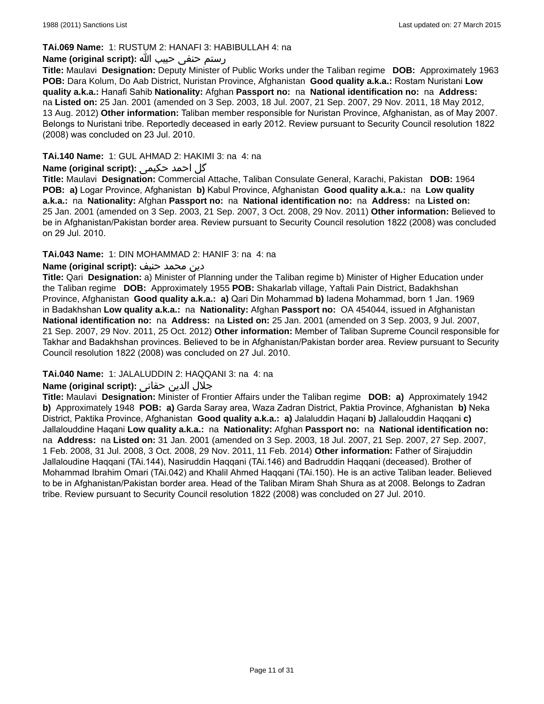### **TAi.069 Name:** 1: RUSTUM 2: HANAFI 3: HABIBULLAH 4: na

### رستم حنفی حبیب الله **:(script original (Name**

**Title:** Maulavi **Designation:** Deputy Minister of Public Works under the Taliban regime **DOB:** Approximately 1963 **POB:** Dara Kolum, Do Aab District, Nuristan Province, Afghanistan **Good quality a.k.a.:** Rostam Nuristani **Low quality a.k.a.:** Hanafi Sahib **Nationality:** Afghan **Passport no:** na **National identification no:** na **Address:**  na **Listed on:** 25 Jan. 2001 (amended on 3 Sep. 2003, 18 Jul. 2007, 21 Sep. 2007, 29 Nov. 2011, 18 May 2012, 13 Aug. 2012) **Other information:** Taliban member responsible for Nuristan Province, Afghanistan, as of May 2007. Belongs to Nuristani tribe. Reportedly deceased in early 2012. Review pursuant to Security Council resolution 1822 (2008) was concluded on 23 Jul. 2010.

# **TAi.140 Name:** 1: GUL AHMAD 2: HAKIMI 3: na 4: na

# گل احمد حکيم**ي :(Name (original script**

**Title:** Maulavi **Designation:** Commercial Attache, Taliban Consulate General, Karachi, Pakistan **DOB:** 1964 **POB: a)** Logar Province, Afghanistan **b)** Kabul Province, Afghanistan **Good quality a.k.a.:** na **Low quality a.k.a.:** na **Nationality:** Afghan **Passport no:** na **National identification no:** na **Address:** na **Listed on:** 25 Jan. 2001 (amended on 3 Sep. 2003, 21 Sep. 2007, 3 Oct. 2008, 29 Nov. 2011) **Other information:** Believed to be in Afghanistan/Pakistan border area. Review pursuant to Security Council resolution 1822 (2008) was concluded on 29 Jul. 2010.

### **TAi.043 Name:** 1: DIN MOHAMMAD 2: HANIF 3: na 4: na

### دین محمد حنیف **:(script original (Name**

**Title:** Qari **Designation:** a) Minister of Planning under the Taliban regime b) Minister of Higher Education under the Taliban regime **DOB:** Approximately 1955 **POB:** Shakarlab village, Yaftali Pain District, Badakhshan Province, Afghanistan **Good quality a.k.a.: a)** Qari Din Mohammad **b)** Iadena Mohammad, born 1 Jan. 1969 in Badakhshan **Low quality a.k.a.:** na **Nationality:** Afghan **Passport no:** OA 454044, issued in Afghanistan **National identification no:** na **Address:** na **Listed on:** 25 Jan. 2001 (amended on 3 Sep. 2003, 9 Jul. 2007, 21 Sep. 2007, 29 Nov. 2011, 25 Oct. 2012) **Other information:** Member of Taliban Supreme Council responsible for Takhar and Badakhshan provinces. Believed to be in Afghanistan/Pakistan border area. Review pursuant to Security Council resolution 1822 (2008) was concluded on 27 Jul. 2010.

#### **TAi.040 Name:** 1: JALALUDDIN 2: HAQQANI 3: na 4: na

# جلال الدين حقانى **:(script original (Name**

**Title:** Maulavi **Designation:** Minister of Frontier Affairs under the Taliban regime **DOB: a)** Approximately 1942 **b)** Approximately 1948 **POB: a)** Garda Saray area, Waza Zadran District, Paktia Province, Afghanistan **b)** Neka District, Paktika Province, Afghanistan **Good quality a.k.a.: a)** Jalaluddin Haqani **b)** Jallalouddin Haqqani **c)** Jallalouddine Haqani **Low quality a.k.a.:** na **Nationality:** Afghan **Passport no:** na **National identification no:**  na **Address:** na **Listed on:** 31 Jan. 2001 (amended on 3 Sep. 2003, 18 Jul. 2007, 21 Sep. 2007, 27 Sep. 2007, 1 Feb. 2008, 31 Jul. 2008, 3 Oct. 2008, 29 Nov. 2011, 11 Feb. 2014) **Other information:** Father of Sirajuddin Jallaloudine Haqqani (TAi.144), Nasiruddin Haqqani (TAi.146) and Badruddin Haqqani (deceased). Brother of Mohammad Ibrahim Omari (TAi.042) and Khalil Ahmed Haqqani (TAi.150). He is an active Taliban leader. Believed to be in Afghanistan/Pakistan border area. Head of the Taliban Miram Shah Shura as at 2008. Belongs to Zadran tribe. Review pursuant to Security Council resolution 1822 (2008) was concluded on 27 Jul. 2010.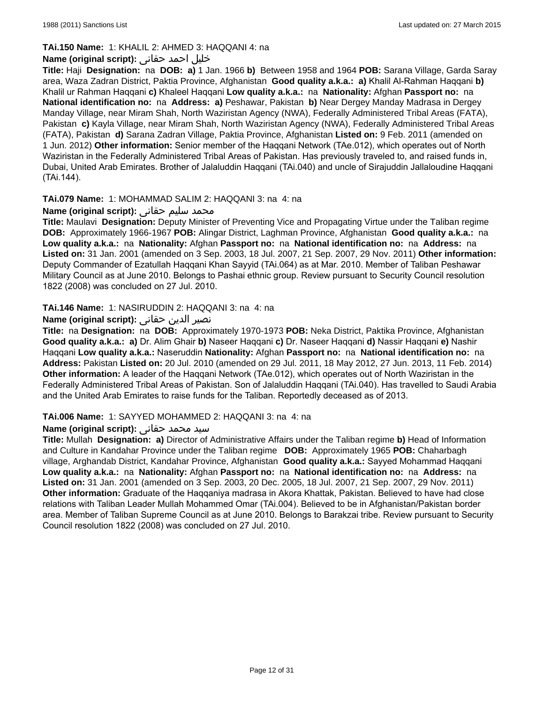# **TAi.150 Name:** 1: KHALIL 2: AHMED 3: HAQQANI 4: na

# خلیل احمد حقانی **:(script original (Name**

**Title:** Haji **Designation:** na **DOB: a)** 1 Jan. 1966 **b)** Between 1958 and 1964 **POB:** Sarana Village, Garda Saray area, Waza Zadran District, Paktia Province, Afghanistan **Good quality a.k.a.: a)** Khalil Al-Rahman Haqqani **b)** Khalil ur Rahman Haqqani **c)** Khaleel Haqqani **Low quality a.k.a.:** na **Nationality:** Afghan **Passport no:** na **National identification no:** na **Address: a)** Peshawar, Pakistan **b)** Near Dergey Manday Madrasa in Dergey Manday Village, near Miram Shah, North Waziristan Agency (NWA), Federally Administered Tribal Areas (FATA), Pakistan **c)** Kayla Village, near Miram Shah, North Waziristan Agency (NWA), Federally Administered Tribal Areas (FATA), Pakistan **d)** Sarana Zadran Village, Paktia Province, Afghanistan **Listed on:** 9 Feb. 2011 (amended on 1 Jun. 2012) **Other information:** Senior member of the Haqqani Network (TAe.012), which operates out of North Waziristan in the Federally Administered Tribal Areas of Pakistan. Has previously traveled to, and raised funds in, Dubai, United Arab Emirates. Brother of Jalaluddin Haqqani (TAi.040) and uncle of Sirajuddin Jallaloudine Haqqani (TAi.144).

# **TAi.079 Name:** 1: MOHAMMAD SALIM 2: HAQQANI 3: na 4: na

# محمد سلیم حقانی **:Name (original script)**

**Title:** Maulavi **Designation:** Deputy Minister of Preventing Vice and Propagating Virtue under the Taliban regime **DOB:** Approximately 1966-1967 **POB:** Alingar District, Laghman Province, Afghanistan **Good quality a.k.a.:** na **Low quality a.k.a.:** na **Nationality:** Afghan **Passport no:** na **National identification no:** na **Address:** na **Listed on:** 31 Jan. 2001 (amended on 3 Sep. 2003, 18 Jul. 2007, 21 Sep. 2007, 29 Nov. 2011) **Other information:** Deputy Commander of Ezatullah Haqqani Khan Sayyid (TAi.064) as at Mar. 2010. Member of Taliban Peshawar Military Council as at June 2010. Belongs to Pashai ethnic group. Review pursuant to Security Council resolution 1822 (2008) was concluded on 27 Jul. 2010.

### **TAi.146 Name:** 1: NASIRUDDIN 2: HAQQANI 3: na 4: na

### نصیر الدین حقانی **:(script original (Name**

**Title:** na **Designation:** na **DOB:** Approximately 1970-1973 **POB:** Neka District, Paktika Province, Afghanistan **Good quality a.k.a.: a)** Dr. Alim Ghair **b)** Naseer Haqqani **c)** Dr. Naseer Haqqani **d)** Nassir Haqqani **e)** Nashir Haqqani **Low quality a.k.a.:** Naseruddin **Nationality:** Afghan **Passport no:** na **National identification no:** na **Address:** Pakistan **Listed on:** 20 Jul. 2010 (amended on 29 Jul. 2011, 18 May 2012, 27 Jun. 2013, 11 Feb. 2014) **Other information:** A leader of the Haqqani Network (TAe.012), which operates out of North Waziristan in the Federally Administered Tribal Areas of Pakistan. Son of Jalaluddin Haqqani (TAi.040). Has travelled to Saudi Arabia and the United Arab Emirates to raise funds for the Taliban. Reportedly deceased as of 2013.

#### **TAi.006 Name:** 1: SAYYED MOHAMMED 2: HAQQANI 3: na 4: na

#### سيد محمد حقانی **:(script original (Name**

**Title:** Mullah **Designation: a)** Director of Administrative Affairs under the Taliban regime **b)** Head of Information and Culture in Kandahar Province under the Taliban regime **DOB:** Approximately 1965 **POB:** Chaharbagh village, Arghandab District, Kandahar Province, Afghanistan **Good quality a.k.a.:** Sayyed Mohammad Haqqani **Low quality a.k.a.:** na **Nationality:** Afghan **Passport no:** na **National identification no:** na **Address:** na **Listed on:** 31 Jan. 2001 (amended on 3 Sep. 2003, 20 Dec. 2005, 18 Jul. 2007, 21 Sep. 2007, 29 Nov. 2011) **Other information:** Graduate of the Haqqaniya madrasa in Akora Khattak, Pakistan. Believed to have had close relations with Taliban Leader Mullah Mohammed Omar (TAi.004). Believed to be in Afghanistan/Pakistan border area. Member of Taliban Supreme Council as at June 2010. Belongs to Barakzai tribe. Review pursuant to Security Council resolution 1822 (2008) was concluded on 27 Jul. 2010.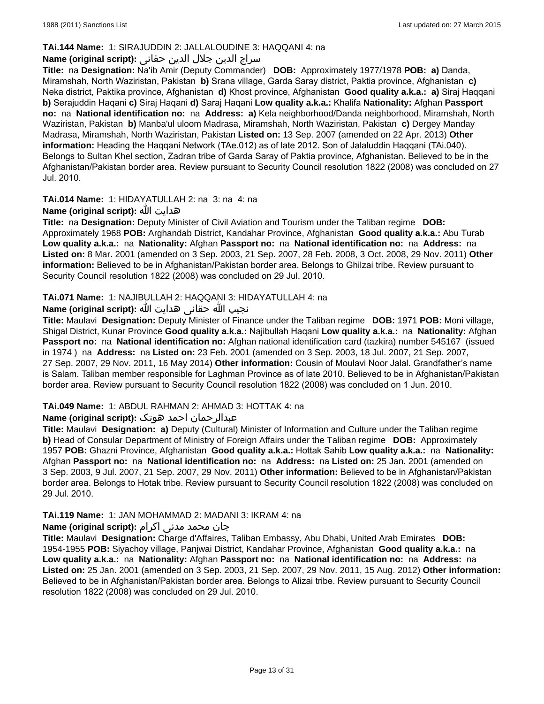# **TAi.144 Name:** 1: SIRAJUDDIN 2: JALLALOUDINE 3: HAQQANI 4: na

# سراج الدين جلال الدين حقانى **:(script original (Name**

**Title:** na **Designation:** Na'ib Amir (Deputy Commander) **DOB:** Approximately 1977/1978 **POB: a)** Danda, Miramshah, North Waziristan, Pakistan **b)** Srana village, Garda Saray district, Paktia province, Afghanistan **c)** Neka district, Paktika province, Afghanistan **d)** Khost province, Afghanistan **Good quality a.k.a.: a)** Siraj Haqqani **b)** Serajuddin Haqani **c)** Siraj Haqani **d)** Saraj Haqani **Low quality a.k.a.:** Khalifa **Nationality:** Afghan **Passport no:** na **National identification no:** na **Address: a)** Kela neighborhood/Danda neighborhood, Miramshah, North Waziristan, Pakistan **b)** Manba'ul uloom Madrasa, Miramshah, North Waziristan, Pakistan **c)** Dergey Manday Madrasa, Miramshah, North Waziristan, Pakistan **Listed on:** 13 Sep. 2007 (amended on 22 Apr. 2013) **Other information:** Heading the Haqqani Network (TAe.012) as of late 2012. Son of Jalaluddin Haqqani (TAi.040). Belongs to Sultan Khel section, Zadran tribe of Garda Saray of Paktia province, Afghanistan. Believed to be in the Afghanistan/Pakistan border area. Review pursuant to Security Council resolution 1822 (2008) was concluded on 27 Jul. 2010.

**TAi.014 Name:** 1: HIDAYATULLAH 2: na 3: na 4: na

### **Name (original script):** الله هدايت

**Title:** na **Designation:** Deputy Minister of Civil Aviation and Tourism under the Taliban regime **DOB:**  Approximately 1968 **POB:** Arghandab District, Kandahar Province, Afghanistan **Good quality a.k.a.:** Abu Turab **Low quality a.k.a.:** na **Nationality:** Afghan **Passport no:** na **National identification no:** na **Address:** na **Listed on:** 8 Mar. 2001 (amended on 3 Sep. 2003, 21 Sep. 2007, 28 Feb. 2008, 3 Oct. 2008, 29 Nov. 2011) **Other information:** Believed to be in Afghanistan/Pakistan border area. Belongs to Ghilzai tribe. Review pursuant to Security Council resolution 1822 (2008) was concluded on 29 Jul. 2010.

### **TAi.071 Name:** 1: NAJIBULLAH 2: HAQQANI 3: HIDAYATULLAH 4: na

# نجیب الله حقانی هدايت الله **:(script original (Name**

**Title:** Maulavi **Designation:** Deputy Minister of Finance under the Taliban regime **DOB:** 1971 **POB:** Moni village, Shigal District, Kunar Province **Good quality a.k.a.:** Najibullah Haqani **Low quality a.k.a.:** na **Nationality:** Afghan **Passport no:** na **National identification no:** Afghan national identification card (tazkira) number 545167 (issued in 1974 ) na **Address:** na **Listed on:** 23 Feb. 2001 (amended on 3 Sep. 2003, 18 Jul. 2007, 21 Sep. 2007, 27 Sep. 2007, 29 Nov. 2011, 16 May 2014) **Other information:** Cousin of Moulavi Noor Jalal. Grandfather's name is Salam. Taliban member responsible for Laghman Province as of late 2010. Believed to be in Afghanistan/Pakistan border area. Review pursuant to Security Council resolution 1822 (2008) was concluded on 1 Jun. 2010.

#### **TAi.049 Name:** 1: ABDUL RAHMAN 2: AHMAD 3: HOTTAK 4: na

# عبدالرحمان احمد هوتک **:(script original (Name**

**Title:** Maulavi **Designation: a)** Deputy (Cultural) Minister of Information and Culture under the Taliban regime **b)** Head of Consular Department of Ministry of Foreign Affairs under the Taliban regime **DOB:** Approximately 1957 **POB:** Ghazni Province, Afghanistan **Good quality a.k.a.:** Hottak Sahib **Low quality a.k.a.:** na **Nationality:** Afghan **Passport no:** na **National identification no:** na **Address:** na **Listed on:** 25 Jan. 2001 (amended on 3 Sep. 2003, 9 Jul. 2007, 21 Sep. 2007, 29 Nov. 2011) **Other information:** Believed to be in Afghanistan/Pakistan border area. Belongs to Hotak tribe. Review pursuant to Security Council resolution 1822 (2008) was concluded on 29 Jul. 2010.

#### **TAi.119 Name:** 1: JAN MOHAMMAD 2: MADANI 3: IKRAM 4: na

# جان محمد مدنی اکرام **:(script original (Name**

**Title:** Maulavi **Designation:** Charge d'Affaires, Taliban Embassy, Abu Dhabi, United Arab Emirates **DOB:** 1954-1955 **POB:** Siyachoy village, Panjwai District, Kandahar Province, Afghanistan **Good quality a.k.a.:** na **Low quality a.k.a.:** na **Nationality:** Afghan **Passport no:** na **National identification no:** na **Address:** na **Listed on:** 25 Jan. 2001 (amended on 3 Sep. 2003, 21 Sep. 2007, 29 Nov. 2011, 15 Aug. 2012) **Other information:** Believed to be in Afghanistan/Pakistan border area. Belongs to Alizai tribe. Review pursuant to Security Council resolution 1822 (2008) was concluded on 29 Jul. 2010.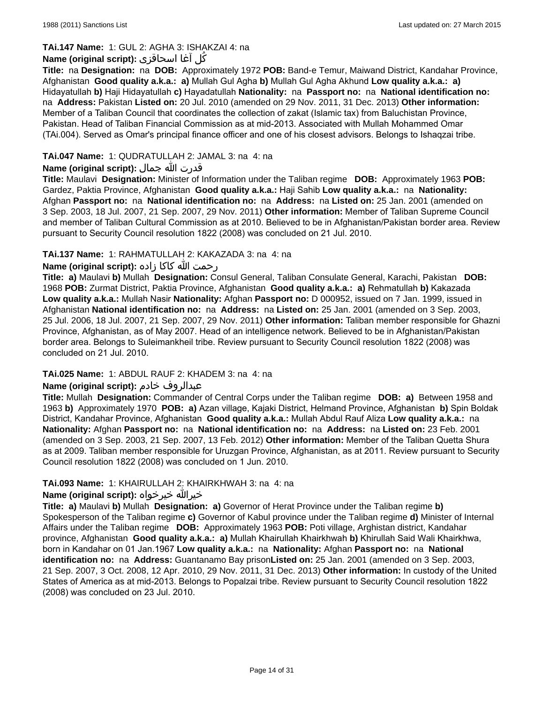# **TAi.147 Name:** 1: GUL 2: AGHA 3: ISHAKZAI 4: na

# كُل آغا اسحاقزی **:(script original (Name**

**Title:** na **Designation:** na **DOB:** Approximately 1972 **POB:** Band-e Temur, Maiwand District, Kandahar Province, Afghanistan **Good quality a.k.a.: a)** Mullah Gul Agha **b)** Mullah Gul Agha Akhund **Low quality a.k.a.: a)** Hidayatullah **b)** Haji Hidayatullah **c)** Hayadatullah **Nationality:** na **Passport no:** na **National identification no:**  na **Address:** Pakistan **Listed on:** 20 Jul. 2010 (amended on 29 Nov. 2011, 31 Dec. 2013) **Other information:** Member of a Taliban Council that coordinates the collection of zakat (Islamic tax) from Baluchistan Province, Pakistan. Head of Taliban Financial Commission as at mid-2013. Associated with Mullah Mohammed Omar (TAi.004). Served as Omar's principal finance officer and one of his closest advisors. Belongs to Ishaqzai tribe.

# **TAi.047 Name:** 1: QUDRATULLAH 2: JAMAL 3: na 4: na

# قدرت الله جمال **:(script original (Name**

**Title:** Maulavi **Designation:** Minister of Information under the Taliban regime **DOB:** Approximately 1963 **POB:** Gardez, Paktia Province, Afghanistan **Good quality a.k.a.:** Haji Sahib **Low quality a.k.a.:** na **Nationality:** Afghan **Passport no:** na **National identification no:** na **Address:** na **Listed on:** 25 Jan. 2001 (amended on 3 Sep. 2003, 18 Jul. 2007, 21 Sep. 2007, 29 Nov. 2011) **Other information:** Member of Taliban Supreme Council and member of Taliban Cultural Commission as at 2010. Believed to be in Afghanistan/Pakistan border area. Review pursuant to Security Council resolution 1822 (2008) was concluded on 21 Jul. 2010.

# **TAi.137 Name:** 1: RAHMATULLAH 2: KAKAZADA 3: na 4: na

# رحمت الله کاکا زاده **:(script original (Name**

**Title: a)** Maulavi **b)** Mullah **Designation:** Consul General, Taliban Consulate General, Karachi, Pakistan **DOB:** 1968 **POB:** Zurmat District, Paktia Province, Afghanistan **Good quality a.k.a.: a)** Rehmatullah **b)** Kakazada **Low quality a.k.a.:** Mullah Nasir **Nationality:** Afghan **Passport no:** D 000952, issued on 7 Jan. 1999, issued in Afghanistan **National identification no:** na **Address:** na **Listed on:** 25 Jan. 2001 (amended on 3 Sep. 2003, 25 Jul. 2006, 18 Jul. 2007, 21 Sep. 2007, 29 Nov. 2011) **Other information:** Taliban member responsible for Ghazni Province, Afghanistan, as of May 2007. Head of an intelligence network. Believed to be in Afghanistan/Pakistan border area. Belongs to Suleimankheil tribe. Review pursuant to Security Council resolution 1822 (2008) was concluded on 21 Jul. 2010.

# **TAi.025 Name:** 1: ABDUL RAUF 2: KHADEM 3: na 4: na

# **Name (original script):** خادم عبدالروف

**Title:** Mullah **Designation:** Commander of Central Corps under the Taliban regime **DOB: a)** Between 1958 and 1963 **b)** Approximately 1970 **POB: a)** Azan village, Kajaki District, Helmand Province, Afghanistan **b)** Spin Boldak District, Kandahar Province, Afghanistan **Good quality a.k.a.:** Mullah Abdul Rauf Aliza **Low quality a.k.a.:** na **Nationality:** Afghan **Passport no:** na **National identification no:** na **Address:** na **Listed on:** 23 Feb. 2001 (amended on 3 Sep. 2003, 21 Sep. 2007, 13 Feb. 2012) **Other information:** Member of the Taliban Quetta Shura as at 2009. Taliban member responsible for Uruzgan Province, Afghanistan, as at 2011. Review pursuant to Security Council resolution 1822 (2008) was concluded on 1 Jun. 2010.

#### **TAi.093 Name:** 1: KHAIRULLAH 2: KHAIRKHWAH 3: na 4: na

# **Name (original script):** خيرخواه خيرالله

**Title: a)** Maulavi **b)** Mullah **Designation: a)** Governor of Herat Province under the Taliban regime **b)** Spokesperson of the Taliban regime **c)** Governor of Kabul province under the Taliban regime **d)** Minister of Internal Affairs under the Taliban regime **DOB:** Approximately 1963 **POB:** Poti village, Arghistan district, Kandahar province, Afghanistan **Good quality a.k.a.: a)** Mullah Khairullah Khairkhwah **b)** Khirullah Said Wali Khairkhwa, born in Kandahar on 01 Jan.1967 **Low quality a.k.a.:** na **Nationality:** Afghan **Passport no:** na **National identification no:** na **Address:** Guantanamo Bay prison**Listed on:** 25 Jan. 2001 (amended on 3 Sep. 2003, 21 Sep. 2007, 3 Oct. 2008, 12 Apr. 2010, 29 Nov. 2011, 31 Dec. 2013) **Other information:** In custody of the United States of America as at mid-2013. Belongs to Popalzai tribe. Review pursuant to Security Council resolution 1822 (2008) was concluded on 23 Jul. 2010.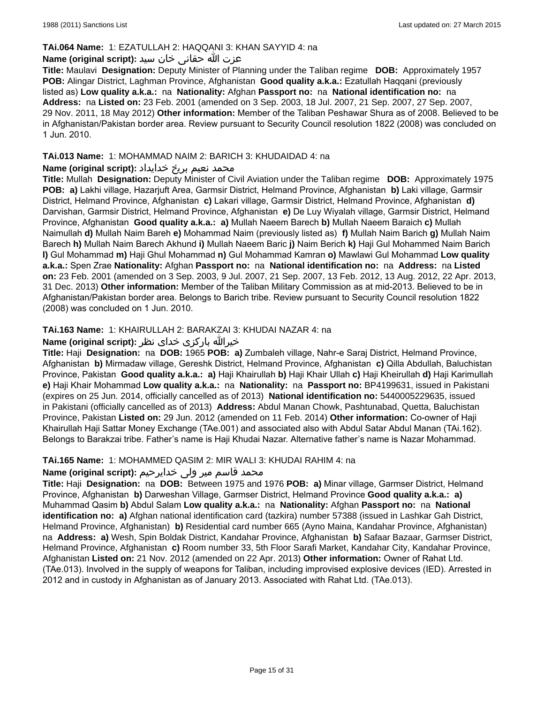# **TAi.064 Name:** 1: EZATULLAH 2: HAQQANI 3: KHAN SAYYID 4: na

# عزت الله حقانی خان سید **:(script original (Name**

**Title:** Maulavi **Designation:** Deputy Minister of Planning under the Taliban regime **DOB:** Approximately 1957 **POB:** Alingar District, Laghman Province, Afghanistan **Good quality a.k.a.:** Ezatullah Haqqani (previously listed as) **Low quality a.k.a.:** na **Nationality:** Afghan **Passport no:** na **National identification no:** na **Address:** na **Listed on:** 23 Feb. 2001 (amended on 3 Sep. 2003, 18 Jul. 2007, 21 Sep. 2007, 27 Sep. 2007, 29 Nov. 2011, 18 May 2012) **Other information:** Member of the Taliban Peshawar Shura as of 2008. Believed to be in Afghanistan/Pakistan border area. Review pursuant to Security Council resolution 1822 (2008) was concluded on 1 Jun. 2010.

### **TAi.013 Name:** 1: MOHAMMAD NAIM 2: BARICH 3: KHUDAIDAD 4: na

### محمد نعیم بریځ خدایداد **:Name (original script**)

**Title:** Mullah **Designation:** Deputy Minister of Civil Aviation under the Taliban regime **DOB:** Approximately 1975 **POB: a)** Lakhi village, Hazarjuft Area, Garmsir District, Helmand Province, Afghanistan **b)** Laki village, Garmsir District, Helmand Province, Afghanistan **c)** Lakari village, Garmsir District, Helmand Province, Afghanistan **d)** Darvishan, Garmsir District, Helmand Province, Afghanistan **e)** De Luy Wiyalah village, Garmsir District, Helmand Province, Afghanistan **Good quality a.k.a.: a)** Mullah Naeem Barech **b)** Mullah Naeem Baraich **c)** Mullah Naimullah **d)** Mullah Naim Bareh **e)** Mohammad Naim (previously listed as) **f)** Mullah Naim Barich **g)** Mullah Naim Barech **h)** Mullah Naim Barech Akhund **i)** Mullah Naeem Baric **j)** Naim Berich **k)** Haji Gul Mohammed Naim Barich **l)** Gul Mohammad **m)** Haji Ghul Mohammad **n)** Gul Mohammad Kamran **o)** Mawlawi Gul Mohammad **Low quality a.k.a.:** Spen Zrae **Nationality:** Afghan **Passport no:** na **National identification no:** na **Address:** na **Listed on:** 23 Feb. 2001 (amended on 3 Sep. 2003, 9 Jul. 2007, 21 Sep. 2007, 13 Feb. 2012, 13 Aug. 2012, 22 Apr. 2013, 31 Dec. 2013) **Other information:** Member of the Taliban Military Commission as at mid-2013. Believed to be in Afghanistan/Pakistan border area. Belongs to Barich tribe. Review pursuant to Security Council resolution 1822 (2008) was concluded on 1 Jun. 2010.

# **TAi.163 Name:** 1: KHAIRULLAH 2: BARAKZAI 3: KHUDAI NAZAR 4: na

# خيرالله بارکزی خدای نظر **:(script original (Name**

**Title:** Haji **Designation:** na **DOB:** 1965 **POB: a)** Zumbaleh village, Nahr-e Saraj District, Helmand Province, Afghanistan **b)** Mirmadaw village, Gereshk District, Helmand Province, Afghanistan **c)** Qilla Abdullah, Baluchistan Province, Pakistan **Good quality a.k.a.: a)** Haji Khairullah **b)** Haji Khair Ullah **c)** Haji Kheirullah **d)** Haji Karimullah **e)** Haji Khair Mohammad **Low quality a.k.a.:** na **Nationality:** na **Passport no:** BP4199631, issued in Pakistani (expires on 25 Jun. 2014, officially cancelled as of 2013) **National identification no:** 5440005229635, issued in Pakistani (officially cancelled as of 2013) **Address:** Abdul Manan Chowk, Pashtunabad, Quetta, Baluchistan Province, Pakistan **Listed on:** 29 Jun. 2012 (amended on 11 Feb. 2014) **Other information:** Co-owner of Haji Khairullah Haji Sattar Money Exchange (TAe.001) and associated also with Abdul Satar Abdul Manan (TAi.162). Belongs to Barakzai tribe. Father's name is Haji Khudai Nazar. Alternative father's name is Nazar Mohammad.

#### **TAi.165 Name:** 1: MOHAMMED QASIM 2: MIR WALI 3: KHUDAI RAHIM 4: na

# محمد قاسم میر ولی خدایرحیم **:Name (original script)**

**Title:** Haji **Designation:** na **DOB:** Between 1975 and 1976 **POB: a)** Minar village, Garmser District, Helmand Province, Afghanistan **b)** Darweshan Village, Garmser District, Helmand Province **Good quality a.k.a.: a)** Muhammad Qasim **b)** Abdul Salam **Low quality a.k.a.:** na **Nationality:** Afghan **Passport no:** na **National identification no: a)** Afghan national identification card (tazkira) number 57388 (issued in Lashkar Gah District, Helmand Province, Afghanistan) **b)** Residential card number 665 (Ayno Maina, Kandahar Province, Afghanistan) na **Address: a)** Wesh, Spin Boldak District, Kandahar Province, Afghanistan **b)** Safaar Bazaar, Garmser District, Helmand Province, Afghanistan **c)** Room number 33, 5th Floor Sarafi Market, Kandahar City, Kandahar Province, Afghanistan **Listed on:** 21 Nov. 2012 (amended on 22 Apr. 2013) **Other information:** Owner of Rahat Ltd. (TAe.013). Involved in the supply of weapons for Taliban, including improvised explosive devices (IED). Arrested in 2012 and in custody in Afghanistan as of January 2013. Associated with Rahat Ltd. (TAe.013).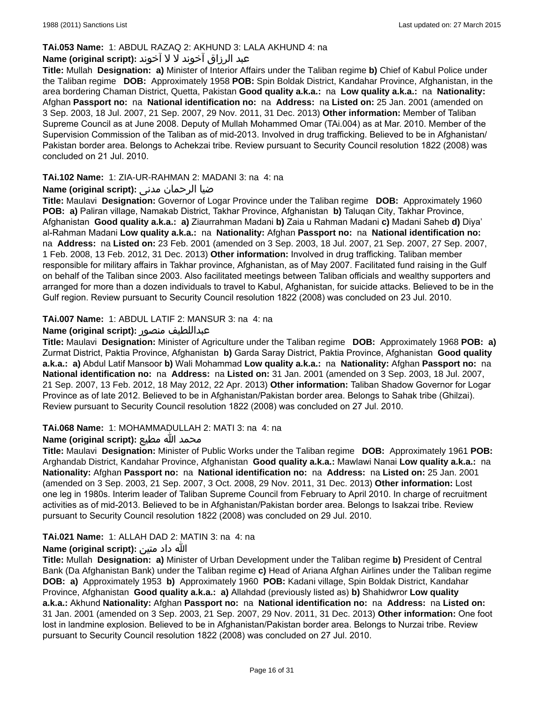# **TAi.053 Name:** 1: ABDUL RAZAQ 2: AKHUND 3: LALA AKHUND 4: na

# عبد الرزاق آخوند لا لا آخوند :**Name (original script):**

**Title:** Mullah **Designation: a)** Minister of Interior Affairs under the Taliban regime **b)** Chief of Kabul Police under the Taliban regime **DOB:** Approximately 1958 **POB:** Spin Boldak District, Kandahar Province, Afghanistan, in the area bordering Chaman District, Quetta, Pakistan **Good quality a.k.a.:** na **Low quality a.k.a.:** na **Nationality:** Afghan **Passport no:** na **National identification no:** na **Address:** na **Listed on:** 25 Jan. 2001 (amended on 3 Sep. 2003, 18 Jul. 2007, 21 Sep. 2007, 29 Nov. 2011, 31 Dec. 2013) **Other information:** Member of Taliban Supreme Council as at June 2008. Deputy of Mullah Mohammed Omar (TAi.004) as at Mar. 2010. Member of the Supervision Commission of the Taliban as of mid-2013. Involved in drug trafficking. Believed to be in Afghanistan/ Pakistan border area. Belongs to Achekzai tribe. Review pursuant to Security Council resolution 1822 (2008) was concluded on 21 Jul. 2010.

## **TAi.102 Name:** 1: ZIA-UR-RAHMAN 2: MADANI 3: na 4: na

# ضیا الرحمان مدنی **:(script original (Name**

**Title:** Maulavi **Designation:** Governor of Logar Province under the Taliban regime **DOB:** Approximately 1960 **POB: a)** Paliran village, Namakab District, Takhar Province, Afghanistan **b)** Taluqan City, Takhar Province, Afghanistan **Good quality a.k.a.: a)** Ziaurrahman Madani **b)** Zaia u Rahman Madani **c)** Madani Saheb **d)** Diya' al-Rahman Madani **Low quality a.k.a.:** na **Nationality:** Afghan **Passport no:** na **National identification no:**  na **Address:** na **Listed on:** 23 Feb. 2001 (amended on 3 Sep. 2003, 18 Jul. 2007, 21 Sep. 2007, 27 Sep. 2007, 1 Feb. 2008, 13 Feb. 2012, 31 Dec. 2013) **Other information:** Involved in drug trafficking. Taliban member responsible for military affairs in Takhar province, Afghanistan, as of May 2007. Facilitated fund raising in the Gulf on behalf of the Taliban since 2003. Also facilitated meetings between Taliban officials and wealthy supporters and arranged for more than a dozen individuals to travel to Kabul, Afghanistan, for suicide attacks. Believed to be in the Gulf region. Review pursuant to Security Council resolution 1822 (2008) was concluded on 23 Jul. 2010.

### **TAi.007 Name:** 1: ABDUL LATIF 2: MANSUR 3: na 4: na

### **Name (original script):** منصور عبداللطیف

**Title:** Maulavi **Designation:** Minister of Agriculture under the Taliban regime **DOB:** Approximately 1968 **POB: a)** Zurmat District, Paktia Province, Afghanistan **b)** Garda Saray District, Paktia Province, Afghanistan **Good quality a.k.a.: a)** Abdul Latif Mansoor **b)** Wali Mohammad **Low quality a.k.a.:** na **Nationality:** Afghan **Passport no:** na **National identification no:** na **Address:** na **Listed on:** 31 Jan. 2001 (amended on 3 Sep. 2003, 18 Jul. 2007, 21 Sep. 2007, 13 Feb. 2012, 18 May 2012, 22 Apr. 2013) **Other information:** Taliban Shadow Governor for Logar Province as of late 2012. Believed to be in Afghanistan/Pakistan border area. Belongs to Sahak tribe (Ghilzai). Review pursuant to Security Council resolution 1822 (2008) was concluded on 27 Jul. 2010.

#### **TAi.068 Name:** 1: MOHAMMADULLAH 2: MATI 3: na 4: na

# محمد الله مطيع :(Name (original script

**Title:** Maulavi **Designation:** Minister of Public Works under the Taliban regime **DOB:** Approximately 1961 **POB:** Arghandab District, Kandahar Province, Afghanistan **Good quality a.k.a.:** Mawlawi Nanai **Low quality a.k.a.:** na **Nationality:** Afghan **Passport no:** na **National identification no:** na **Address:** na **Listed on:** 25 Jan. 2001 (amended on 3 Sep. 2003, 21 Sep. 2007, 3 Oct. 2008, 29 Nov. 2011, 31 Dec. 2013) **Other information:** Lost one leg in 1980s. Interim leader of Taliban Supreme Council from February to April 2010. In charge of recruitment activities as of mid-2013. Believed to be in Afghanistan/Pakistan border area. Belongs to Isakzai tribe. Review pursuant to Security Council resolution 1822 (2008) was concluded on 29 Jul. 2010.

#### **TAi.021 Name:** 1: ALLAH DAD 2: MATIN 3: na 4: na

# الله داد متین **:(script original (Name**

**Title:** Mullah **Designation: a)** Minister of Urban Development under the Taliban regime **b)** President of Central Bank (Da Afghanistan Bank) under the Taliban regime **c)** Head of Ariana Afghan Airlines under the Taliban regime **DOB: a)** Approximately 1953 **b)** Approximately 1960 **POB:** Kadani village, Spin Boldak District, Kandahar Province, Afghanistan **Good quality a.k.a.: a)** Allahdad (previously listed as) **b)** Shahidwror **Low quality a.k.a.:** Akhund **Nationality:** Afghan **Passport no:** na **National identification no:** na **Address:** na **Listed on:** 31 Jan. 2001 (amended on 3 Sep. 2003, 21 Sep. 2007, 29 Nov. 2011, 31 Dec. 2013) **Other information:** One foot lost in landmine explosion. Believed to be in Afghanistan/Pakistan border area. Belongs to Nurzai tribe. Review pursuant to Security Council resolution 1822 (2008) was concluded on 27 Jul. 2010.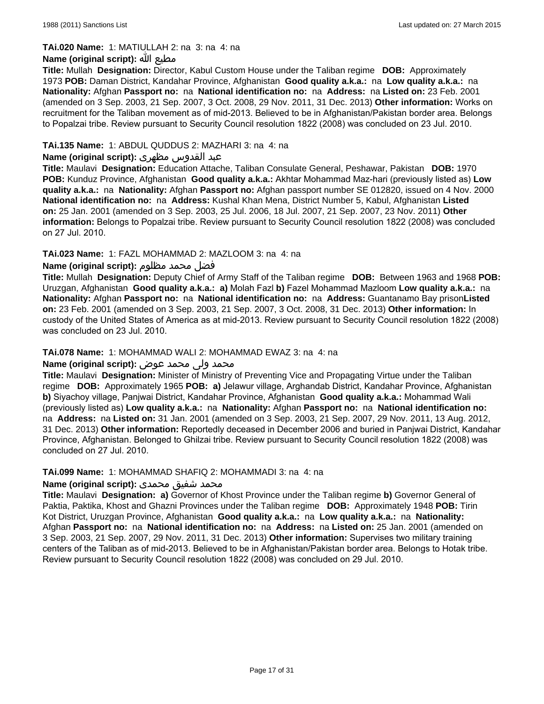#### **TAi.020 Name:** 1: MATIULLAH 2: na 3: na 4: na

# **Name (original script):** الله مطيع

**Title:** Mullah **Designation:** Director, Kabul Custom House under the Taliban regime **DOB:** Approximately 1973 **POB:** Daman District, Kandahar Province, Afghanistan **Good quality a.k.a.:** na **Low quality a.k.a.:** na **Nationality:** Afghan **Passport no:** na **National identification no:** na **Address:** na **Listed on:** 23 Feb. 2001 (amended on 3 Sep. 2003, 21 Sep. 2007, 3 Oct. 2008, 29 Nov. 2011, 31 Dec. 2013) **Other information:** Works on recruitment for the Taliban movement as of mid-2013. Believed to be in Afghanistan/Pakistan border area. Belongs to Popalzai tribe. Review pursuant to Security Council resolution 1822 (2008) was concluded on 23 Jul. 2010.

# **TAi.135 Name:** 1: ABDUL QUDDUS 2: MAZHARI 3: na 4: na

#### عبد القدوس مظهری **:(script original (Name**

**Title:** Maulavi **Designation:** Education Attache, Taliban Consulate General, Peshawar, Pakistan **DOB:** 1970 **POB:** Kunduz Province, Afghanistan **Good quality a.k.a.:** Akhtar Mohammad Maz-hari (previously listed as) **Low quality a.k.a.:** na **Nationality:** Afghan **Passport no:** Afghan passport number SE 012820, issued on 4 Nov. 2000 **National identification no:** na **Address:** Kushal Khan Mena, District Number 5, Kabul, Afghanistan **Listed on:** 25 Jan. 2001 (amended on 3 Sep. 2003, 25 Jul. 2006, 18 Jul. 2007, 21 Sep. 2007, 23 Nov. 2011) **Other information:** Belongs to Popalzai tribe. Review pursuant to Security Council resolution 1822 (2008) was concluded on 27 Jul. 2010.

# **TAi.023 Name:** 1: FAZL MOHAMMAD 2: MAZLOOM 3: na 4: na

### فضل محمد مظلوم **:(script original (Name**

**Title:** Mullah **Designation:** Deputy Chief of Army Staff of the Taliban regime **DOB:** Between 1963 and 1968 **POB:** Uruzgan, Afghanistan **Good quality a.k.a.: a)** Molah Fazl **b)** Fazel Mohammad Mazloom **Low quality a.k.a.:** na **Nationality:** Afghan **Passport no:** na **National identification no:** na **Address:** Guantanamo Bay prison**Listed on:** 23 Feb. 2001 (amended on 3 Sep. 2003, 21 Sep. 2007, 3 Oct. 2008, 31 Dec. 2013) **Other information:** In custody of the United States of America as at mid-2013. Review pursuant to Security Council resolution 1822 (2008) was concluded on 23 Jul. 2010.

#### **TAi.078 Name:** 1: MOHAMMAD WALI 2: MOHAMMAD EWAZ 3: na 4: na

#### محمد ولی محمد عوض **:(script original (Name**

**Title:** Maulavi **Designation:** Minister of Ministry of Preventing Vice and Propagating Virtue under the Taliban regime **DOB:** Approximately 1965 **POB: a)** Jelawur village, Arghandab District, Kandahar Province, Afghanistan **b)** Siyachoy village, Panjwai District, Kandahar Province, Afghanistan **Good quality a.k.a.:** Mohammad Wali (previously listed as) **Low quality a.k.a.:** na **Nationality:** Afghan **Passport no:** na **National identification no:**  na **Address:** na **Listed on:** 31 Jan. 2001 (amended on 3 Sep. 2003, 21 Sep. 2007, 29 Nov. 2011, 13 Aug. 2012, 31 Dec. 2013) **Other information:** Reportedly deceased in December 2006 and buried in Panjwai District, Kandahar Province, Afghanistan. Belonged to Ghilzai tribe. Review pursuant to Security Council resolution 1822 (2008) was concluded on 27 Jul. 2010.

#### **TAi.099 Name:** 1: MOHAMMAD SHAFIQ 2: MOHAMMADI 3: na 4: na

# محمد شفیق محمدی :**Name (original script)**

**Title:** Maulavi **Designation: a)** Governor of Khost Province under the Taliban regime **b)** Governor General of Paktia, Paktika, Khost and Ghazni Provinces under the Taliban regime **DOB:** Approximately 1948 **POB:** Tirin Kot District, Uruzgan Province, Afghanistan **Good quality a.k.a.:** na **Low quality a.k.a.:** na **Nationality:** Afghan **Passport no:** na **National identification no:** na **Address:** na **Listed on:** 25 Jan. 2001 (amended on 3 Sep. 2003, 21 Sep. 2007, 29 Nov. 2011, 31 Dec. 2013) **Other information:** Supervises two military training centers of the Taliban as of mid-2013. Believed to be in Afghanistan/Pakistan border area. Belongs to Hotak tribe. Review pursuant to Security Council resolution 1822 (2008) was concluded on 29 Jul. 2010.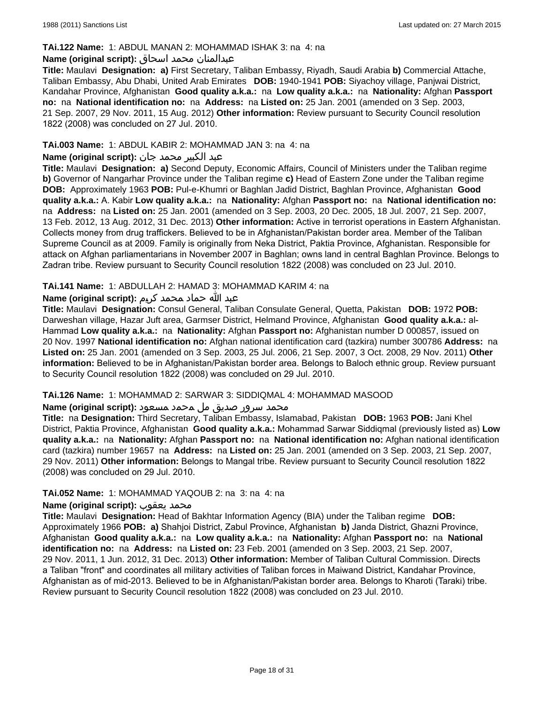#### **TAi.122 Name:** 1: ABDUL MANAN 2: MOHAMMAD ISHAK 3: na 4: na

#### عبدالمنان محمد اسحاق **:(script original (Name**

**Title:** Maulavi **Designation: a)** First Secretary, Taliban Embassy, Riyadh, Saudi Arabia **b)** Commercial Attache, Taliban Embassy, Abu Dhabi, United Arab Emirates **DOB:** 1940-1941 **POB:** Siyachoy village, Panjwai District, Kandahar Province, Afghanistan **Good quality a.k.a.:** na **Low quality a.k.a.:** na **Nationality:** Afghan **Passport no:** na **National identification no:** na **Address:** na **Listed on:** 25 Jan. 2001 (amended on 3 Sep. 2003, 21 Sep. 2007, 29 Nov. 2011, 15 Aug. 2012) **Other information:** Review pursuant to Security Council resolution 1822 (2008) was concluded on 27 Jul. 2010.

### **TAi.003 Name:** 1: ABDUL KABIR 2: MOHAMMAD JAN 3: na 4: na

# عبد الکبیر محمد جان **:(script original (Name**

**Title:** Maulavi **Designation: a)** Second Deputy, Economic Affairs, Council of Ministers under the Taliban regime **b)** Governor of Nangarhar Province under the Taliban regime **c)** Head of Eastern Zone under the Taliban regime **DOB:** Approximately 1963 **POB:** Pul-e-Khumri or Baghlan Jadid District, Baghlan Province, Afghanistan **Good quality a.k.a.:** A. Kabir **Low quality a.k.a.:** na **Nationality:** Afghan **Passport no:** na **National identification no:**  na **Address:** na **Listed on:** 25 Jan. 2001 (amended on 3 Sep. 2003, 20 Dec. 2005, 18 Jul. 2007, 21 Sep. 2007, 13 Feb. 2012, 13 Aug. 2012, 31 Dec. 2013) **Other information:** Active in terrorist operations in Eastern Afghanistan. Collects money from drug traffickers. Believed to be in Afghanistan/Pakistan border area. Member of the Taliban Supreme Council as at 2009. Family is originally from Neka District, Paktia Province, Afghanistan. Responsible for attack on Afghan parliamentarians in November 2007 in Baghlan; owns land in central Baghlan Province. Belongs to Zadran tribe. Review pursuant to Security Council resolution 1822 (2008) was concluded on 23 Jul. 2010.

### **TAi.141 Name:** 1: ABDULLAH 2: HAMAD 3: MOHAMMAD KARIM 4: na

### عبد الله حماد محمد كريم **:(script original (Name**

**Title:** Maulavi **Designation:** Consul General, Taliban Consulate General, Quetta, Pakistan **DOB:** 1972 **POB:** Darweshan village, Hazar Juft area, Garmser District, Helmand Province, Afghanistan **Good quality a.k.a.:** al-Hammad **Low quality a.k.a.:** na **Nationality:** Afghan **Passport no:** Afghanistan number D 000857, issued on 20 Nov. 1997 **National identification no:** Afghan national identification card (tazkira) number 300786 **Address:** na **Listed on:** 25 Jan. 2001 (amended on 3 Sep. 2003, 25 Jul. 2006, 21 Sep. 2007, 3 Oct. 2008, 29 Nov. 2011) **Other information:** Believed to be in Afghanistan/Pakistan border area. Belongs to Baloch ethnic group. Review pursuant to Security Council resolution 1822 (2008) was concluded on 29 Jul. 2010.

#### **TAi.126 Name:** 1: MOHAMMAD 2: SARWAR 3: SIDDIQMAL 4: MOHAMMAD MASOOD

#### محمد سرور صدیق مل محمد مسعود **:Name (original script)**

**Title:** na **Designation:** Third Secretary, Taliban Embassy, Islamabad, Pakistan **DOB:** 1963 **POB:** Jani Khel District, Paktia Province, Afghanistan **Good quality a.k.a.:** Mohammad Sarwar Siddiqmal (previously listed as) **Low quality a.k.a.:** na **Nationality:** Afghan **Passport no:** na **National identification no:** Afghan national identification card (tazkira) number 19657 na **Address:** na **Listed on:** 25 Jan. 2001 (amended on 3 Sep. 2003, 21 Sep. 2007, 29 Nov. 2011) **Other information:** Belongs to Mangal tribe. Review pursuant to Security Council resolution 1822 (2008) was concluded on 29 Jul. 2010.

#### **TAi.052 Name:** 1: MOHAMMAD YAQOUB 2: na 3: na 4: na

#### **Name (original script):** يعقوب محمد

**Title:** Maulavi **Designation:** Head of Bakhtar Information Agency (BIA) under the Taliban regime **DOB:**  Approximately 1966 **POB: a)** Shahjoi District, Zabul Province, Afghanistan **b)** Janda District, Ghazni Province, Afghanistan **Good quality a.k.a.:** na **Low quality a.k.a.:** na **Nationality:** Afghan **Passport no:** na **National identification no:** na **Address:** na **Listed on:** 23 Feb. 2001 (amended on 3 Sep. 2003, 21 Sep. 2007, 29 Nov. 2011, 1 Jun. 2012, 31 Dec. 2013) **Other information:** Member of Taliban Cultural Commission. Directs a Taliban "front" and coordinates all military activities of Taliban forces in Maiwand District, Kandahar Province, Afghanistan as of mid-2013. Believed to be in Afghanistan/Pakistan border area. Belongs to Kharoti (Taraki) tribe. Review pursuant to Security Council resolution 1822 (2008) was concluded on 23 Jul. 2010.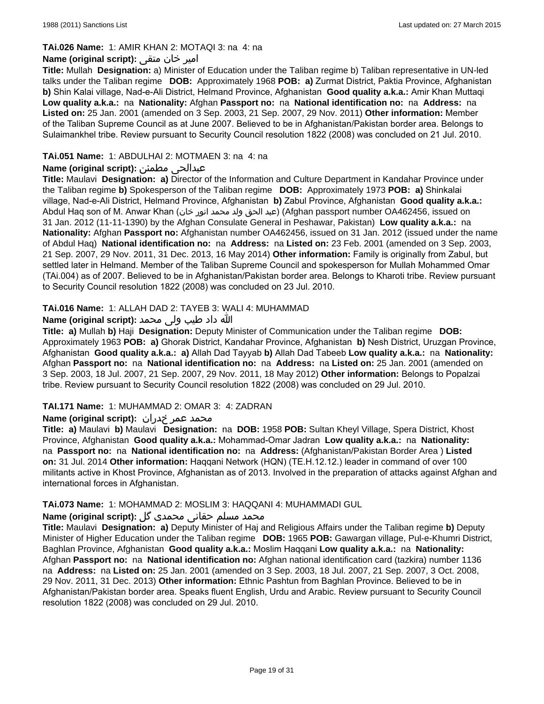### **TAi.026 Name:** 1: AMIR KHAN 2: MOTAQI 3: na 4: na

### امیر خان متقی **:(script original (Name**

**Title:** Mullah **Designation:** a) Minister of Education under the Taliban regime b) Taliban representative in UN-led talks under the Taliban regime **DOB:** Approximately 1968 **POB: a)** Zurmat District, Paktia Province, Afghanistan **b)** Shin Kalai village, Nad-e-Ali District, Helmand Province, Afghanistan **Good quality a.k.a.:** Amir Khan Muttaqi **Low quality a.k.a.:** na **Nationality:** Afghan **Passport no:** na **National identification no:** na **Address:** na **Listed on:** 25 Jan. 2001 (amended on 3 Sep. 2003, 21 Sep. 2007, 29 Nov. 2011) **Other information:** Member of the Taliban Supreme Council as at June 2007. Believed to be in Afghanistan/Pakistan border area. Belongs to Sulaimankhel tribe. Review pursuant to Security Council resolution 1822 (2008) was concluded on 21 Jul. 2010.

# **TAi.051 Name:** 1: ABDULHAI 2: MOTMAEN 3: na 4: na

# **Name (original script):** مطمئن عبدالحی

**Title:** Maulavi **Designation: a)** Director of the Information and Culture Department in Kandahar Province under the Taliban regime **b)** Spokesperson of the Taliban regime **DOB:** Approximately 1973 **POB: a)** Shinkalai village, Nad-e-Ali District, Helmand Province, Afghanistan **b)** Zabul Province, Afghanistan **Good quality a.k.a.:** Abdul Haq son of M. Anwar Khan (خان انور محمد ولد الحق عبد) (Afghan passport number OA462456, issued on 31 Jan. 2012 (11-11-1390) by the Afghan Consulate General in Peshawar, Pakistan) **Low quality a.k.a.:** na **Nationality:** Afghan **Passport no:** Afghanistan number OA462456, issued on 31 Jan. 2012 (issued under the name of Abdul Haq) **National identification no:** na **Address:** na **Listed on:** 23 Feb. 2001 (amended on 3 Sep. 2003, 21 Sep. 2007, 29 Nov. 2011, 31 Dec. 2013, 16 May 2014) **Other information:** Family is originally from Zabul, but settled later in Helmand. Member of the Taliban Supreme Council and spokesperson for Mullah Mohammed Omar (TAi.004) as of 2007. Believed to be in Afghanistan/Pakistan border area. Belongs to Kharoti tribe. Review pursuant to Security Council resolution 1822 (2008) was concluded on 23 Jul. 2010.

### **TAi.016 Name:** 1: ALLAH DAD 2: TAYEB 3: WALI 4: MUHAMMAD

# الله داد طیب ولی محمد **:(script original (Name**

**Title: a)** Mullah **b)** Haji **Designation:** Deputy Minister of Communication under the Taliban regime **DOB:**  Approximately 1963 **POB: a)** Ghorak District, Kandahar Province, Afghanistan **b)** Nesh District, Uruzgan Province, Afghanistan **Good quality a.k.a.: a)** Allah Dad Tayyab **b)** Allah Dad Tabeeb **Low quality a.k.a.:** na **Nationality:** Afghan **Passport no:** na **National identification no:** na **Address:** na **Listed on:** 25 Jan. 2001 (amended on 3 Sep. 2003, 18 Jul. 2007, 21 Sep. 2007, 29 Nov. 2011, 18 May 2012) **Other information:** Belongs to Popalzai tribe. Review pursuant to Security Council resolution 1822 (2008) was concluded on 29 Jul. 2010.

#### **TAI.171 Name:** 1: MUHAMMAD 2: OMAR 3: 4: ZADRAN

# محمد عمر ځدران :**Name (original script)**

**Title: a)** Maulavi **b)** Maulavi **Designation:** na **DOB:** 1958 **POB:** Sultan Kheyl Village, Spera District, Khost Province, Afghanistan **Good quality a.k.a.:** Mohammad-Omar Jadran **Low quality a.k.a.:** na **Nationality:**  na **Passport no:** na **National identification no:** na **Address:** (Afghanistan/Pakistan Border Area ) **Listed on:** 31 Jul. 2014 **Other information:** Haqqani Network (HQN) (TE.H.12.12.) leader in command of over 100 militants active in Khost Province, Afghanistan as of 2013. Involved in the preparation of attacks against Afghan and international forces in Afghanistan.

#### **TAi.073 Name:** 1: MOHAMMAD 2: MOSLIM 3: HAQQANI 4: MUHAMMADI GUL

# محمد مسلم حقانی محمدی گل **:Name (original script)**

**Title:** Maulavi **Designation: a)** Deputy Minister of Haj and Religious Affairs under the Taliban regime **b)** Deputy Minister of Higher Education under the Taliban regime **DOB:** 1965 **POB:** Gawargan village, Pul-e-Khumri District, Baghlan Province, Afghanistan **Good quality a.k.a.:** Moslim Haqqani **Low quality a.k.a.:** na **Nationality:** Afghan **Passport no:** na **National identification no:** Afghan national identification card (tazkira) number 1136 na **Address:** na **Listed on:** 25 Jan. 2001 (amended on 3 Sep. 2003, 18 Jul. 2007, 21 Sep. 2007, 3 Oct. 2008, 29 Nov. 2011, 31 Dec. 2013) **Other information:** Ethnic Pashtun from Baghlan Province. Believed to be in Afghanistan/Pakistan border area. Speaks fluent English, Urdu and Arabic. Review pursuant to Security Council resolution 1822 (2008) was concluded on 29 Jul. 2010.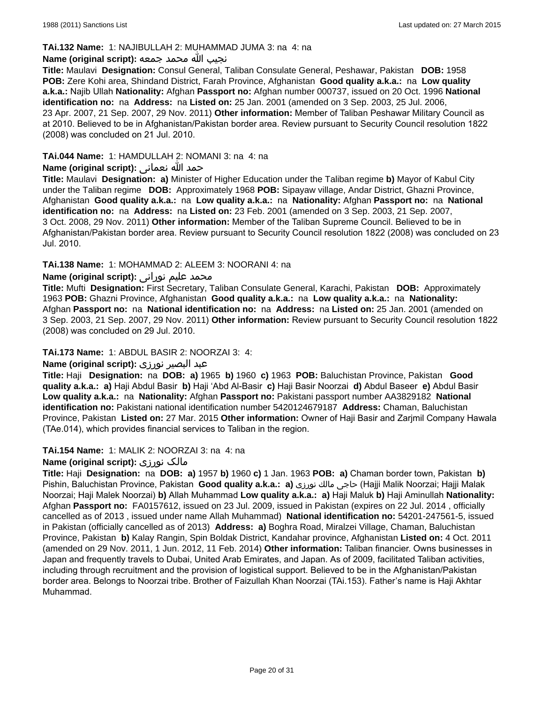#### **TAi.132 Name:** 1: NAJIBULLAH 2: MUHAMMAD JUMA 3: na 4: na

#### نجيب الله محمد جمعه **:(script original (Name**

**Title:** Maulavi **Designation:** Consul General, Taliban Consulate General, Peshawar, Pakistan **DOB:** 1958 **POB:** Zere Kohi area, Shindand District, Farah Province, Afghanistan **Good quality a.k.a.:** na **Low quality a.k.a.:** Najib Ullah **Nationality:** Afghan **Passport no:** Afghan number 000737, issued on 20 Oct. 1996 **National identification no:** na **Address:** na **Listed on:** 25 Jan. 2001 (amended on 3 Sep. 2003, 25 Jul. 2006, 23 Apr. 2007, 21 Sep. 2007, 29 Nov. 2011) **Other information:** Member of Taliban Peshawar Military Council as at 2010. Believed to be in Afghanistan/Pakistan border area. Review pursuant to Security Council resolution 1822 (2008) was concluded on 21 Jul. 2010.

# **TAi.044 Name:** 1: HAMDULLAH 2: NOMANI 3: na 4: na

# حمد الله نعمانى **:(script original (Name**

**Title:** Maulavi **Designation: a)** Minister of Higher Education under the Taliban regime **b)** Mayor of Kabul City under the Taliban regime **DOB:** Approximately 1968 **POB:** Sipayaw village, Andar District, Ghazni Province, Afghanistan **Good quality a.k.a.:** na **Low quality a.k.a.:** na **Nationality:** Afghan **Passport no:** na **National identification no:** na **Address:** na **Listed on:** 23 Feb. 2001 (amended on 3 Sep. 2003, 21 Sep. 2007, 3 Oct. 2008, 29 Nov. 2011) **Other information:** Member of the Taliban Supreme Council. Believed to be in Afghanistan/Pakistan border area. Review pursuant to Security Council resolution 1822 (2008) was concluded on 23 Jul. 2010.

### **TAi.138 Name:** 1: MOHAMMAD 2: ALEEM 3: NOORANI 4: na

### محمد علیم نورانی **:Name (original script)**

**Title:** Mufti **Designation:** First Secretary, Taliban Consulate General, Karachi, Pakistan **DOB:** Approximately 1963 **POB:** Ghazni Province, Afghanistan **Good quality a.k.a.:** na **Low quality a.k.a.:** na **Nationality:** Afghan **Passport no:** na **National identification no:** na **Address:** na **Listed on:** 25 Jan. 2001 (amended on 3 Sep. 2003, 21 Sep. 2007, 29 Nov. 2011) **Other information:** Review pursuant to Security Council resolution 1822 (2008) was concluded on 29 Jul. 2010.

#### **TAi.173 Name:** 1: ABDUL BASIR 2: NOORZAI 3: 4:

# عبد البصیر نورزی **:(script original (Name**

**Title:** Haji **Designation:** na **DOB: a)** 1965 **b)** 1960 **c)** 1963 **POB:** Baluchistan Province, Pakistan **Good quality a.k.a.: a)** Haji Abdul Basir **b)** Haji 'Abd Al-Basir **c)** Haji Basir Noorzai **d)** Abdul Baseer **e)** Abdul Basir **Low quality a.k.a.:** na **Nationality:** Afghan **Passport no:** Pakistani passport number AA3829182 **National identification no:** Pakistani national identification number 5420124679187 **Address:** Chaman, Baluchistan Province, Pakistan **Listed on:** 27 Mar. 2015 **Other information:** Owner of Haji Basir and Zarjmil Company Hawala (TAe.014), which provides financial services to Taliban in the region.

#### **TAi.154 Name:** 1: MALIK 2: NOORZAI 3: na 4: na

#### **Name (original script):** نورزى مالک

**Title:** Haji **Designation:** na **DOB: a)** 1957 **b)** 1960 **c)** 1 Jan. 1963 **POB: a)** Chaman border town, Pakistan **b)** Pishin, Baluchistan Province, Pakistan **Good quality a.k.a.: a)** نورزى مالك حاجى) Hajji Malik Noorzai; Hajji Malak Noorzai; Haji Malek Noorzai) **b)** Allah Muhammad **Low quality a.k.a.: a)** Haji Maluk **b)** Haji Aminullah **Nationality:** Afghan **Passport no:** FA0157612, issued on 23 Jul. 2009, issued in Pakistan (expires on 22 Jul. 2014 , officially cancelled as of 2013 , issued under name Allah Muhammad) **National identification no:** 54201-247561-5, issued in Pakistan (officially cancelled as of 2013) **Address: a)** Boghra Road, Miralzei Village, Chaman, Baluchistan Province, Pakistan **b)** Kalay Rangin, Spin Boldak District, Kandahar province, Afghanistan **Listed on:** 4 Oct. 2011 (amended on 29 Nov. 2011, 1 Jun. 2012, 11 Feb. 2014) **Other information:** Taliban financier. Owns businesses in Japan and frequently travels to Dubai, United Arab Emirates, and Japan. As of 2009, facilitated Taliban activities, including through recruitment and the provision of logistical support. Believed to be in the Afghanistan/Pakistan border area. Belongs to Noorzai tribe. Brother of Faizullah Khan Noorzai (TAi.153). Father's name is Haji Akhtar Muhammad.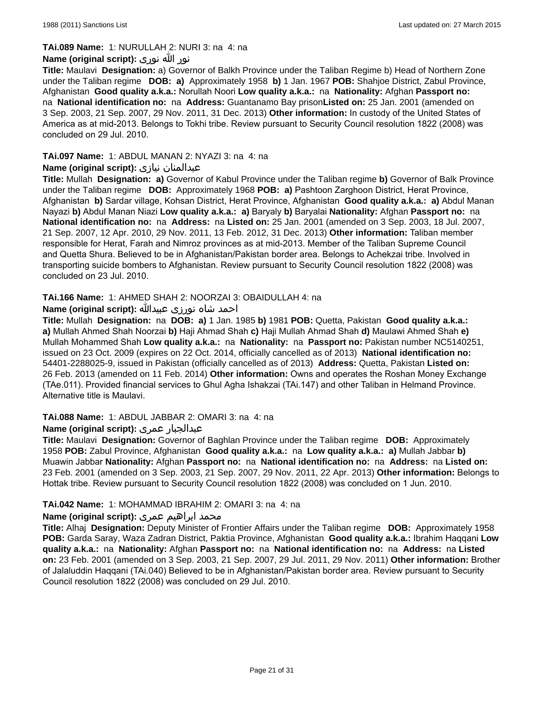#### **TAi.089 Name:** 1: NURULLAH 2: NURI 3: na 4: na

### نور الله نوری **:(script original (Name**

**Title:** Maulavi **Designation:** a) Governor of Balkh Province under the Taliban Regime b) Head of Northern Zone under the Taliban regime **DOB: a)** Approximately 1958 **b)** 1 Jan. 1967 **POB:** Shahjoe District, Zabul Province, Afghanistan **Good quality a.k.a.:** Norullah Noori **Low quality a.k.a.:** na **Nationality:** Afghan **Passport no:**  na **National identification no:** na **Address:** Guantanamo Bay prison**Listed on:** 25 Jan. 2001 (amended on 3 Sep. 2003, 21 Sep. 2007, 29 Nov. 2011, 31 Dec. 2013) **Other information:** In custody of the United States of America as at mid-2013. Belongs to Tokhi tribe. Review pursuant to Security Council resolution 1822 (2008) was concluded on 29 Jul. 2010.

# **TAi.097 Name:** 1: ABDUL MANAN 2: NYAZI 3: na 4: na

# **Name (original script):** نیازی عبدالمنان

**Title:** Mullah **Designation: a)** Governor of Kabul Province under the Taliban regime **b)** Governor of Balk Province under the Taliban regime **DOB:** Approximately 1968 **POB: a)** Pashtoon Zarghoon District, Herat Province, Afghanistan **b)** Sardar village, Kohsan District, Herat Province, Afghanistan **Good quality a.k.a.: a)** Abdul Manan Nayazi **b)** Abdul Manan Niazi **Low quality a.k.a.: a)** Baryaly **b)** Baryalai **Nationality:** Afghan **Passport no:** na **National identification no:** na **Address:** na **Listed on:** 25 Jan. 2001 (amended on 3 Sep. 2003, 18 Jul. 2007, 21 Sep. 2007, 12 Apr. 2010, 29 Nov. 2011, 13 Feb. 2012, 31 Dec. 2013) **Other information:** Taliban member responsible for Herat, Farah and Nimroz provinces as at mid-2013. Member of the Taliban Supreme Council and Quetta Shura. Believed to be in Afghanistan/Pakistan border area. Belongs to Achekzai tribe. Involved in transporting suicide bombers to Afghanistan. Review pursuant to Security Council resolution 1822 (2008) was concluded on 23 Jul. 2010.

# **TAi.166 Name:** 1: AHMED SHAH 2: NOORZAI 3: OBAIDULLAH 4: na

### احمد شاه نورزی عبیدالله **:(script original (Name**

**Title:** Mullah **Designation:** na **DOB: a)** 1 Jan. 1985 **b)** 1981 **POB:** Quetta, Pakistan **Good quality a.k.a.: a)** Mullah Ahmed Shah Noorzai **b)** Haji Ahmad Shah **c)** Haji Mullah Ahmad Shah **d)** Maulawi Ahmed Shah **e)** Mullah Mohammed Shah **Low quality a.k.a.:** na **Nationality:** na **Passport no:** Pakistan number NC5140251, issued on 23 Oct. 2009 (expires on 22 Oct. 2014, officially cancelled as of 2013) **National identification no:**  54401-2288025-9, issued in Pakistan (officially cancelled as of 2013) **Address:** Quetta, Pakistan **Listed on:** 26 Feb. 2013 (amended on 11 Feb. 2014) **Other information:** Owns and operates the Roshan Money Exchange (TAe.011). Provided financial services to Ghul Agha Ishakzai (TAi.147) and other Taliban in Helmand Province. Alternative title is Maulavi.

# **TAi.088 Name:** 1: ABDUL JABBAR 2: OMARI 3: na 4: na

# **Name (original script):** عمری عبدالجبار

**Title:** Maulavi **Designation:** Governor of Baghlan Province under the Taliban regime **DOB:** Approximately 1958 **POB:** Zabul Province, Afghanistan **Good quality a.k.a.:** na **Low quality a.k.a.: a)** Mullah Jabbar **b)** Muawin Jabbar **Nationality:** Afghan **Passport no:** na **National identification no:** na **Address:** na **Listed on:** 23 Feb. 2001 (amended on 3 Sep. 2003, 21 Sep. 2007, 29 Nov. 2011, 22 Apr. 2013) **Other information:** Belongs to Hottak tribe. Review pursuant to Security Council resolution 1822 (2008) was concluded on 1 Jun. 2010.

#### **TAi.042 Name:** 1: MOHAMMAD IBRAHIM 2: OMARI 3: na 4: na

#### محمد ابراهیم عمری **:Name (original script)**

**Title:** Alhaj **Designation:** Deputy Minister of Frontier Affairs under the Taliban regime **DOB:** Approximately 1958 **POB:** Garda Saray, Waza Zadran District, Paktia Province, Afghanistan **Good quality a.k.a.:** Ibrahim Haqqani **Low quality a.k.a.:** na **Nationality:** Afghan **Passport no:** na **National identification no:** na **Address:** na **Listed on:** 23 Feb. 2001 (amended on 3 Sep. 2003, 21 Sep. 2007, 29 Jul. 2011, 29 Nov. 2011) **Other information:** Brother of Jalaluddin Haqqani (TAi.040) Believed to be in Afghanistan/Pakistan border area. Review pursuant to Security Council resolution 1822 (2008) was concluded on 29 Jul. 2010.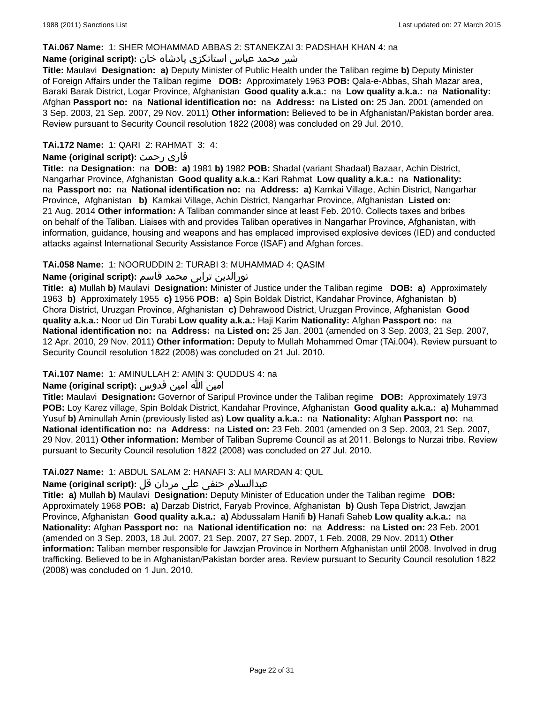#### **TAi.067 Name:** 1: SHER MOHAMMAD ABBAS 2: STANEKZAI 3: PADSHAH KHAN 4: na

# شیر محمد عباس استانکزی پادشاه خان **:(script original (Name**

**Title:** Maulavi **Designation: a)** Deputy Minister of Public Health under the Taliban regime **b)** Deputy Minister of Foreign Affairs under the Taliban regime **DOB:** Approximately 1963 **POB:** Qala-e-Abbas, Shah Mazar area, Baraki Barak District, Logar Province, Afghanistan **Good quality a.k.a.:** na **Low quality a.k.a.:** na **Nationality:** Afghan **Passport no:** na **National identification no:** na **Address:** na **Listed on:** 25 Jan. 2001 (amended on 3 Sep. 2003, 21 Sep. 2007, 29 Nov. 2011) **Other information:** Believed to be in Afghanistan/Pakistan border area. Review pursuant to Security Council resolution 1822 (2008) was concluded on 29 Jul. 2010.

# **TAi.172 Name:** 1: QARI 2: RAHMAT 3: 4:

#### **Name (original script):** رحمت قاری

**Title:** na **Designation:** na **DOB: a)** 1981 **b)** 1982 **POB:** Shadal (variant Shadaal) Bazaar, Achin District, Nangarhar Province, Afghanistan **Good quality a.k.a.:** Kari Rahmat **Low quality a.k.a.:** na **Nationality:**  na **Passport no:** na **National identification no:** na **Address: a)** Kamkai Village, Achin District, Nangarhar Province, Afghanistan **b)** Kamkai Village, Achin District, Nangarhar Province, Afghanistan **Listed on:** 21 Aug. 2014 **Other information:** A Taliban commander since at least Feb. 2010. Collects taxes and bribes on behalf of the Taliban. Liaises with and provides Taliban operatives in Nangarhar Province, Afghanistan, with information, guidance, housing and weapons and has emplaced improvised explosive devices (IED) and conducted attacks against International Security Assistance Force (ISAF) and Afghan forces.

### **TAi.058 Name:** 1: NOORUDDIN 2: TURABI 3: MUHAMMAD 4: QASIM

# نورالدین ترابی محمد قاسم **:(script original (Name**

**Title: a)** Mullah **b)** Maulavi **Designation:** Minister of Justice under the Taliban regime **DOB: a)** Approximately 1963 **b)** Approximately 1955 **c)** 1956 **POB: a)** Spin Boldak District, Kandahar Province, Afghanistan **b)** Chora District, Uruzgan Province, Afghanistan **c)** Dehrawood District, Uruzgan Province, Afghanistan **Good quality a.k.a.:** Noor ud Din Turabi **Low quality a.k.a.:** Haji Karim **Nationality:** Afghan **Passport no:** na **National identification no:** na **Address:** na **Listed on:** 25 Jan. 2001 (amended on 3 Sep. 2003, 21 Sep. 2007, 12 Apr. 2010, 29 Nov. 2011) **Other information:** Deputy to Mullah Mohammed Omar (TAi.004). Review pursuant to Security Council resolution 1822 (2008) was concluded on 21 Jul. 2010.

# **TAi.107 Name:** 1: AMINULLAH 2: AMIN 3: QUDDUS 4: na

# امین الله امین قدوس **:(script original (Name**

**Title:** Maulavi **Designation:** Governor of Saripul Province under the Taliban regime **DOB:** Approximately 1973 **POB:** Loy Karez village, Spin Boldak District, Kandahar Province, Afghanistan **Good quality a.k.a.: a)** Muhammad Yusuf **b)** Aminullah Amin (previously listed as) **Low quality a.k.a.:** na **Nationality:** Afghan **Passport no:** na **National identification no:** na **Address:** na **Listed on:** 23 Feb. 2001 (amended on 3 Sep. 2003, 21 Sep. 2007, 29 Nov. 2011) **Other information:** Member of Taliban Supreme Council as at 2011. Belongs to Nurzai tribe. Review pursuant to Security Council resolution 1822 (2008) was concluded on 27 Jul. 2010.

# **TAi.027 Name:** 1: ABDUL SALAM 2: HANAFI 3: ALI MARDAN 4: QUL

# عبدالسلام حنفی علی مردان قل **:(script original (Name**

**Title: a)** Mullah **b)** Maulavi **Designation:** Deputy Minister of Education under the Taliban regime **DOB:**  Approximately 1968 **POB: a)** Darzab District, Faryab Province, Afghanistan **b)** Qush Tepa District, Jawzjan Province, Afghanistan **Good quality a.k.a.: a)** Abdussalam Hanifi **b)** Hanafi Saheb **Low quality a.k.a.:** na **Nationality:** Afghan **Passport no:** na **National identification no:** na **Address:** na **Listed on:** 23 Feb. 2001 (amended on 3 Sep. 2003, 18 Jul. 2007, 21 Sep. 2007, 27 Sep. 2007, 1 Feb. 2008, 29 Nov. 2011) **Other information:** Taliban member responsible for Jawzjan Province in Northern Afghanistan until 2008. Involved in drug trafficking. Believed to be in Afghanistan/Pakistan border area. Review pursuant to Security Council resolution 1822 (2008) was concluded on 1 Jun. 2010.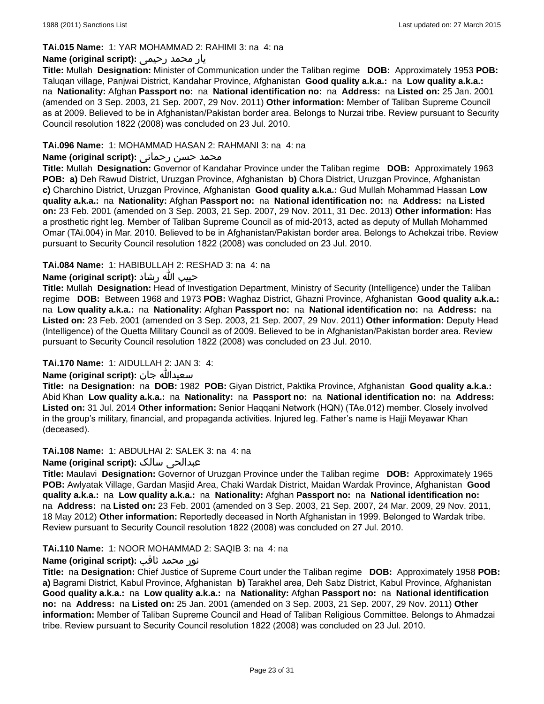### **TAi.015 Name:** 1: YAR MOHAMMAD 2: RAHIMI 3: na 4: na

# یار محمد رحیمی **:(script original (Name**

**Title:** Mullah **Designation:** Minister of Communication under the Taliban regime **DOB:** Approximately 1953 **POB:** Taluqan village, Panjwai District, Kandahar Province, Afghanistan **Good quality a.k.a.:** na **Low quality a.k.a.:**  na **Nationality:** Afghan **Passport no:** na **National identification no:** na **Address:** na **Listed on:** 25 Jan. 2001 (amended on 3 Sep. 2003, 21 Sep. 2007, 29 Nov. 2011) **Other information:** Member of Taliban Supreme Council as at 2009. Believed to be in Afghanistan/Pakistan border area. Belongs to Nurzai tribe. Review pursuant to Security Council resolution 1822 (2008) was concluded on 23 Jul. 2010.

### **TAi.096 Name:** 1: MOHAMMAD HASAN 2: RAHMANI 3: na 4: na

#### محمد حسن رحمانی **:Name (original script**)

**Title:** Mullah **Designation:** Governor of Kandahar Province under the Taliban regime **DOB:** Approximately 1963 **POB: a)** Deh Rawud District, Uruzgan Province, Afghanistan **b)** Chora District, Uruzgan Province, Afghanistan **c)** Charchino District, Uruzgan Province, Afghanistan **Good quality a.k.a.:** Gud Mullah Mohammad Hassan **Low quality a.k.a.:** na **Nationality:** Afghan **Passport no:** na **National identification no:** na **Address:** na **Listed on:** 23 Feb. 2001 (amended on 3 Sep. 2003, 21 Sep. 2007, 29 Nov. 2011, 31 Dec. 2013) **Other information:** Has a prosthetic right leg. Member of Taliban Supreme Council as of mid-2013, acted as deputy of Mullah Mohammed Omar (TAi.004) in Mar. 2010. Believed to be in Afghanistan/Pakistan border area. Belongs to Achekzai tribe. Review pursuant to Security Council resolution 1822 (2008) was concluded on 23 Jul. 2010.

### **TAi.084 Name:** 1: HABIBULLAH 2: RESHAD 3: na 4: na

### حبیب الله رشاد **:(script original (Name**

**Title:** Mullah **Designation:** Head of Investigation Department, Ministry of Security (Intelligence) under the Taliban regime **DOB:** Between 1968 and 1973 **POB:** Waghaz District, Ghazni Province, Afghanistan **Good quality a.k.a.:** na **Low quality a.k.a.:** na **Nationality:** Afghan **Passport no:** na **National identification no:** na **Address:** na **Listed on:** 23 Feb. 2001 (amended on 3 Sep. 2003, 21 Sep. 2007, 29 Nov. 2011) **Other information:** Deputy Head (Intelligence) of the Quetta Military Council as of 2009. Believed to be in Afghanistan/Pakistan border area. Review pursuant to Security Council resolution 1822 (2008) was concluded on 23 Jul. 2010.

# **TAi.170 Name:** 1: AIDULLAH 2: JAN 3: 4:

# **Name (original script):** جان سعيدالله

**Title:** na **Designation:** na **DOB:** 1982 **POB:** Giyan District, Paktika Province, Afghanistan **Good quality a.k.a.:** Abid Khan **Low quality a.k.a.:** na **Nationality:** na **Passport no:** na **National identification no:** na **Address: Listed on:** 31 Jul. 2014 **Other information:** Senior Haqqani Network (HQN) (TAe.012) member. Closely involved in the group's military, financial, and propaganda activities. Injured leg. Father's name is Hajji Meyawar Khan (deceased).

#### **TAi.108 Name:** 1: ABDULHAI 2: SALEK 3: na 4: na

#### **Name (original script):** سالک عبدالحی

**Title:** Maulavi **Designation:** Governor of Uruzgan Province under the Taliban regime **DOB:** Approximately 1965 **POB:** Awlyatak Village, Gardan Masjid Area, Chaki Wardak District, Maidan Wardak Province, Afghanistan **Good quality a.k.a.:** na **Low quality a.k.a.:** na **Nationality:** Afghan **Passport no:** na **National identification no:**  na **Address:** na **Listed on:** 23 Feb. 2001 (amended on 3 Sep. 2003, 21 Sep. 2007, 24 Mar. 2009, 29 Nov. 2011, 18 May 2012) **Other information:** Reportedly deceased in North Afghanistan in 1999. Belonged to Wardak tribe. Review pursuant to Security Council resolution 1822 (2008) was concluded on 27 Jul. 2010.

#### **TAi.110 Name:** 1: NOOR MOHAMMAD 2: SAQIB 3: na 4: na

#### نور محمد ثاقب **:(script original (Name**

**Title:** na **Designation:** Chief Justice of Supreme Court under the Taliban regime **DOB:** Approximately 1958 **POB: a)** Bagrami District, Kabul Province, Afghanistan **b)** Tarakhel area, Deh Sabz District, Kabul Province, Afghanistan **Good quality a.k.a.:** na **Low quality a.k.a.:** na **Nationality:** Afghan **Passport no:** na **National identification no:** na **Address:** na **Listed on:** 25 Jan. 2001 (amended on 3 Sep. 2003, 21 Sep. 2007, 29 Nov. 2011) **Other information:** Member of Taliban Supreme Council and Head of Taliban Religious Committee. Belongs to Ahmadzai tribe. Review pursuant to Security Council resolution 1822 (2008) was concluded on 23 Jul. 2010.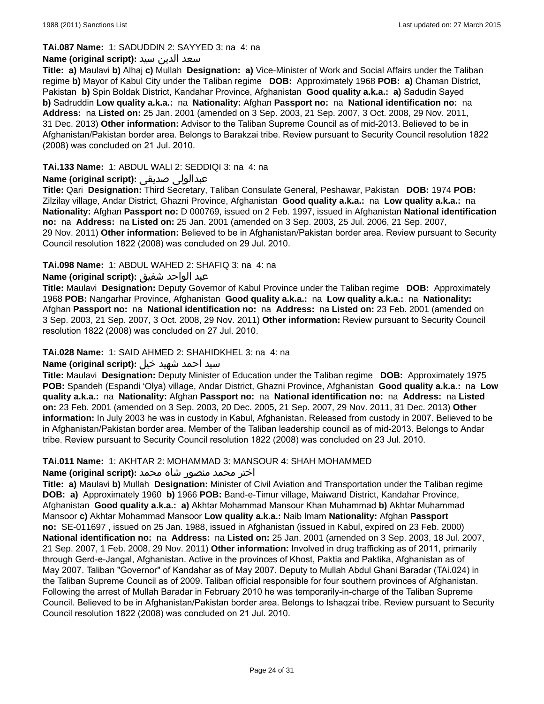#### **TAi.087 Name:** 1: SADUDDIN 2: SAYYED 3: na 4: na

# سعد الدين سيد **:(script original (Name**

**Title: a)** Maulavi **b)** Alhaj **c)** Mullah **Designation: a)** Vice-Minister of Work and Social Affairs under the Taliban regime **b)** Mayor of Kabul City under the Taliban regime **DOB:** Approximately 1968 **POB: a)** Chaman District, Pakistan **b)** Spin Boldak District, Kandahar Province, Afghanistan **Good quality a.k.a.: a)** Sadudin Sayed **b)** Sadruddin **Low quality a.k.a.:** na **Nationality:** Afghan **Passport no:** na **National identification no:** na **Address:** na **Listed on:** 25 Jan. 2001 (amended on 3 Sep. 2003, 21 Sep. 2007, 3 Oct. 2008, 29 Nov. 2011, 31 Dec. 2013) **Other information:** Advisor to the Taliban Supreme Council as of mid-2013. Believed to be in Afghanistan/Pakistan border area. Belongs to Barakzai tribe. Review pursuant to Security Council resolution 1822 (2008) was concluded on 21 Jul. 2010.

### **TAi.133 Name:** 1: ABDUL WALI 2: SEDDIQI 3: na 4: na

## **Name (original script):** صدیقی عبدالولی

**Title:** Qari **Designation:** Third Secretary, Taliban Consulate General, Peshawar, Pakistan **DOB:** 1974 **POB:** Zilzilay village, Andar District, Ghazni Province, Afghanistan **Good quality a.k.a.:** na **Low quality a.k.a.:** na **Nationality:** Afghan **Passport no:** D 000769, issued on 2 Feb. 1997, issued in Afghanistan **National identification no:** na **Address:** na **Listed on:** 25 Jan. 2001 (amended on 3 Sep. 2003, 25 Jul. 2006, 21 Sep. 2007, 29 Nov. 2011) **Other information:** Believed to be in Afghanistan/Pakistan border area. Review pursuant to Security Council resolution 1822 (2008) was concluded on 29 Jul. 2010.

### **TAi.098 Name:** 1: ABDUL WAHED 2: SHAFIQ 3: na 4: na

### عبد الواحد شفيق **:(script original (Name**

**Title:** Maulavi **Designation:** Deputy Governor of Kabul Province under the Taliban regime **DOB:** Approximately 1968 **POB:** Nangarhar Province, Afghanistan **Good quality a.k.a.:** na **Low quality a.k.a.:** na **Nationality:** Afghan **Passport no:** na **National identification no:** na **Address:** na **Listed on:** 23 Feb. 2001 (amended on 3 Sep. 2003, 21 Sep. 2007, 3 Oct. 2008, 29 Nov. 2011) **Other information:** Review pursuant to Security Council resolution 1822 (2008) was concluded on 27 Jul. 2010.

#### **TAi.028 Name:** 1: SAID AHMED 2: SHAHIDKHEL 3: na 4: na

#### سيد احمد شهید خیل **:(script original (Name**

**Title:** Maulavi **Designation:** Deputy Minister of Education under the Taliban regime **DOB:** Approximately 1975 **POB:** Spandeh (Espandi 'Olya) village, Andar District, Ghazni Province, Afghanistan **Good quality a.k.a.:** na **Low quality a.k.a.:** na **Nationality:** Afghan **Passport no:** na **National identification no:** na **Address:** na **Listed on:** 23 Feb. 2001 (amended on 3 Sep. 2003, 20 Dec. 2005, 21 Sep. 2007, 29 Nov. 2011, 31 Dec. 2013) **Other information:** In July 2003 he was in custody in Kabul, Afghanistan. Released from custody in 2007. Believed to be in Afghanistan/Pakistan border area. Member of the Taliban leadership council as of mid-2013. Belongs to Andar tribe. Review pursuant to Security Council resolution 1822 (2008) was concluded on 23 Jul. 2010.

#### **TAi.011 Name:** 1: AKHTAR 2: MOHAMMAD 3: MANSOUR 4: SHAH MOHAMMED

#### اختر محمد منصور شاه محمد **:(script original (Name**

**Title: a)** Maulavi **b)** Mullah **Designation:** Minister of Civil Aviation and Transportation under the Taliban regime **DOB: a)** Approximately 1960 **b)** 1966 **POB:** Band-e-Timur village, Maiwand District, Kandahar Province, Afghanistan **Good quality a.k.a.: a)** Akhtar Mohammad Mansour Khan Muhammad **b)** Akhtar Muhammad Mansoor **c)** Akhtar Mohammad Mansoor **Low quality a.k.a.:** Naib Imam **Nationality:** Afghan **Passport no:** SE-011697 , issued on 25 Jan. 1988, issued in Afghanistan (issued in Kabul, expired on 23 Feb. 2000) **National identification no:** na **Address:** na **Listed on:** 25 Jan. 2001 (amended on 3 Sep. 2003, 18 Jul. 2007, 21 Sep. 2007, 1 Feb. 2008, 29 Nov. 2011) **Other information:** Involved in drug trafficking as of 2011, primarily through Gerd-e-Jangal, Afghanistan. Active in the provinces of Khost, Paktia and Paktika, Afghanistan as of May 2007. Taliban "Governor" of Kandahar as of May 2007. Deputy to Mullah Abdul Ghani Baradar (TAi.024) in the Taliban Supreme Council as of 2009. Taliban official responsible for four southern provinces of Afghanistan. Following the arrest of Mullah Baradar in February 2010 he was temporarily-in-charge of the Taliban Supreme Council. Believed to be in Afghanistan/Pakistan border area. Belongs to Ishaqzai tribe. Review pursuant to Security Council resolution 1822 (2008) was concluded on 21 Jul. 2010.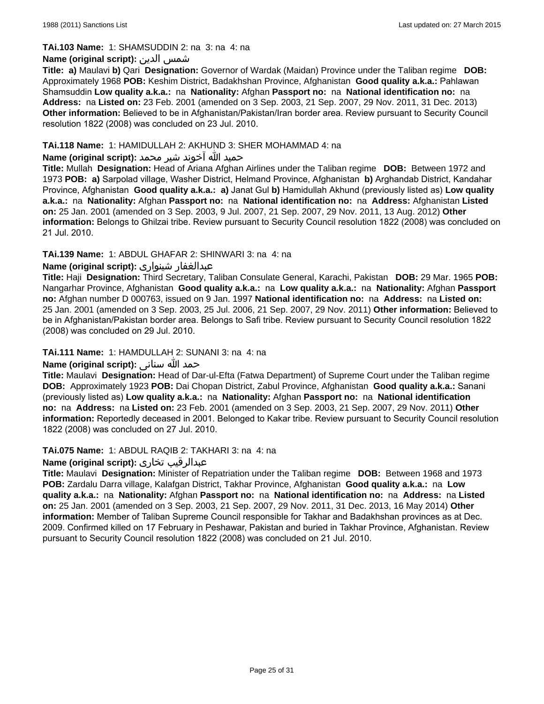#### **TAi.103 Name:** 1: SHAMSUDDIN 2: na 3: na 4: na

## **Name (original script):** الدین شمس

**Title: a)** Maulavi **b)** Qari **Designation:** Governor of Wardak (Maidan) Province under the Taliban regime **DOB:**  Approximately 1968 **POB:** Keshim District, Badakhshan Province, Afghanistan **Good quality a.k.a.:** Pahlawan Shamsuddin **Low quality a.k.a.:** na **Nationality:** Afghan **Passport no:** na **National identification no:** na **Address:** na **Listed on:** 23 Feb. 2001 (amended on 3 Sep. 2003, 21 Sep. 2007, 29 Nov. 2011, 31 Dec. 2013) **Other information:** Believed to be in Afghanistan/Pakistan/Iran border area. Review pursuant to Security Council resolution 1822 (2008) was concluded on 23 Jul. 2010.

### **TAi.118 Name:** 1: HAMIDULLAH 2: AKHUND 3: SHER MOHAMMAD 4: na

# حمید الله آخوند شیر محمد **:(script original (Name**

**Title:** Mullah **Designation:** Head of Ariana Afghan Airlines under the Taliban regime **DOB:** Between 1972 and 1973 **POB: a)** Sarpolad village, Washer District, Helmand Province, Afghanistan **b)** Arghandab District, Kandahar Province, Afghanistan **Good quality a.k.a.: a)** Janat Gul **b)** Hamidullah Akhund (previously listed as) **Low quality a.k.a.:** na **Nationality:** Afghan **Passport no:** na **National identification no:** na **Address:** Afghanistan **Listed on:** 25 Jan. 2001 (amended on 3 Sep. 2003, 9 Jul. 2007, 21 Sep. 2007, 29 Nov. 2011, 13 Aug. 2012) **Other information:** Belongs to Ghilzai tribe. Review pursuant to Security Council resolution 1822 (2008) was concluded on 21 Jul. 2010.

### **TAi.139 Name:** 1: ABDUL GHAFAR 2: SHINWARI 3: na 4: na

# **Name (original script):** شینواری عبدالغفار

**Title:** Haji **Designation:** Third Secretary, Taliban Consulate General, Karachi, Pakistan **DOB:** 29 Mar. 1965 **POB:** Nangarhar Province, Afghanistan **Good quality a.k.a.:** na **Low quality a.k.a.:** na **Nationality:** Afghan **Passport no:** Afghan number D 000763, issued on 9 Jan. 1997 **National identification no:** na **Address:** na **Listed on:** 25 Jan. 2001 (amended on 3 Sep. 2003, 25 Jul. 2006, 21 Sep. 2007, 29 Nov. 2011) **Other information:** Believed to be in Afghanistan/Pakistan border area. Belongs to Safi tribe. Review pursuant to Security Council resolution 1822 (2008) was concluded on 29 Jul. 2010.

# **TAi.111 Name:** 1: HAMDULLAH 2: SUNANI 3: na 4: na

# حمد الله سنانی **:(script original (Name**

**Title:** Maulavi **Designation:** Head of Dar-ul-Efta (Fatwa Department) of Supreme Court under the Taliban regime **DOB:** Approximately 1923 **POB:** Dai Chopan District, Zabul Province, Afghanistan **Good quality a.k.a.:** Sanani (previously listed as) **Low quality a.k.a.:** na **Nationality:** Afghan **Passport no:** na **National identification no:** na **Address:** na **Listed on:** 23 Feb. 2001 (amended on 3 Sep. 2003, 21 Sep. 2007, 29 Nov. 2011) **Other information:** Reportedly deceased in 2001. Belonged to Kakar tribe. Review pursuant to Security Council resolution 1822 (2008) was concluded on 27 Jul. 2010.

#### **TAi.075 Name:** 1: ABDUL RAQIB 2: TAKHARI 3: na 4: na

#### **Name (original script):** تخاری عبدالرقیب

**Title:** Maulavi **Designation:** Minister of Repatriation under the Taliban regime **DOB:** Between 1968 and 1973 **POB:** Zardalu Darra village, Kalafgan District, Takhar Province, Afghanistan **Good quality a.k.a.:** na **Low quality a.k.a.:** na **Nationality:** Afghan **Passport no:** na **National identification no:** na **Address:** na **Listed on:** 25 Jan. 2001 (amended on 3 Sep. 2003, 21 Sep. 2007, 29 Nov. 2011, 31 Dec. 2013, 16 May 2014) **Other information:** Member of Taliban Supreme Council responsible for Takhar and Badakhshan provinces as at Dec. 2009. Confirmed killed on 17 February in Peshawar, Pakistan and buried in Takhar Province, Afghanistan. Review pursuant to Security Council resolution 1822 (2008) was concluded on 21 Jul. 2010.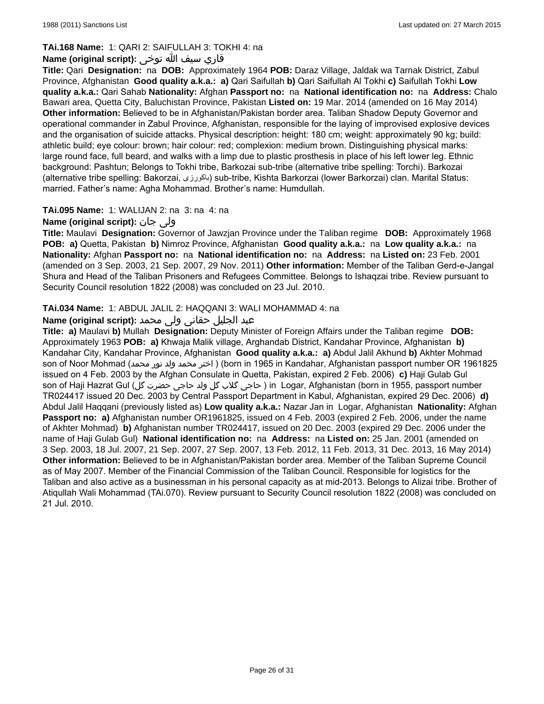# **TAi.168 Name:** 1: QARI 2: SAIFULLAH 3: TOKHI 4: na

# قاري سیف الله توخى **:(script original (Name**

**Title:** Qari **Designation:** na **DOB:** Approximately 1964 **POB:** Daraz Village, Jaldak wa Tarnak District, Zabul Province, Afghanistan **Good quality a.k.a.: a)** Qari Saifullah **b)** Qari Saifullah Al Tokhi **c)** Saifullah Tokhi **Low quality a.k.a.:** Qari Sahab **Nationality:** Afghan **Passport no:** na **National identification no:** na **Address:** Chalo Bawari area, Quetta City, Baluchistan Province, Pakistan **Listed on:** 19 Mar. 2014 (amended on 16 May 2014) **Other information:** Believed to be in Afghanistan/Pakistan border area. Taliban Shadow Deputy Governor and operational commander in Zabul Province, Afghanistan, responsible for the laying of improvised explosive devices and the organisation of suicide attacks. Physical description: height: 180 cm; weight: approximately 90 kg; build: athletic build; eye colour: brown; hair colour: red; complexion: medium brown. Distinguishing physical marks: large round face, full beard, and walks with a limp due to plastic prosthesis in place of his left lower leg. Ethnic background: Pashtun; Belongs to Tokhi tribe, Barkozai sub-tribe (alternative tribe spelling: Torchi). Barkozai (alternative tribe spelling: Bakorzai, باکورزی (sub-tribe, Kishta Barkorzai (lower Barkorzai) clan. Marital Status: married. Father's name: Agha Mohammad. Brother's name: Humdullah.

### **TAi.095 Name:** 1: WALIJAN 2: na 3: na 4: na

# **Name (original script):** جان ولی

**Title:** Maulavi **Designation:** Governor of Jawzjan Province under the Taliban regime **DOB:** Approximately 1968 **POB: a)** Quetta, Pakistan **b)** Nimroz Province, Afghanistan **Good quality a.k.a.:** na **Low quality a.k.a.:** na **Nationality:** Afghan **Passport no:** na **National identification no:** na **Address:** na **Listed on:** 23 Feb. 2001 (amended on 3 Sep. 2003, 21 Sep. 2007, 29 Nov. 2011) **Other information:** Member of the Taliban Gerd-e-Jangal Shura and Head of the Taliban Prisoners and Refugees Committee. Belongs to Ishaqzai tribe. Review pursuant to Security Council resolution 1822 (2008) was concluded on 23 Jul. 2010.

# **TAi.034 Name:** 1: ABDUL JALIL 2: HAQQANI 3: WALI MOHAMMAD 4: na

## عبد الجليل حقانی ولی محمد **:(script original (Name**

**Title: a)** Maulavi **b)** Mullah **Designation:** Deputy Minister of Foreign Affairs under the Taliban regime **DOB:**  Approximately 1963 **POB: a)** Khwaja Malik village, Arghandab District, Kandahar Province, Afghanistan **b)** Kandahar City, Kandahar Province, Afghanistan **Good quality a.k.a.: a)** Abdul Jalil Akhund **b)** Akhter Mohmad son of Noor Mohmad (محمد نور ولد محمد اختر) ( born in 1965 in Kandahar, Afghanistan passport number OR 1961825 issued on 4 Feb. 2003 by the Afghan Consulate in Quetta, Pakistan, expired 2 Feb. 2006) **c)** Haji Gulab Gul son of Haji Hazrat Gul (کاجی گلاب گل ولد حاجی حضرت گل) in Logar, Afghanistan (born in 1955, passport number TR024417 issued 20 Dec. 2003 by Central Passport Department in Kabul, Afghanistan, expired 29 Dec. 2006) **d)** Abdul Jalil Haqqani (previously listed as) **Low quality a.k.a.:** Nazar Jan in Logar, Afghanistan **Nationality:** Afghan **Passport no: a)** Afghanistan number OR1961825, issued on 4 Feb. 2003 (expired 2 Feb. 2006, under the name of Akhter Mohmad) **b)** Afghanistan number TR024417, issued on 20 Dec. 2003 (expired 29 Dec. 2006 under the name of Haji Gulab Gul) **National identification no:** na **Address:** na **Listed on:** 25 Jan. 2001 (amended on 3 Sep. 2003, 18 Jul. 2007, 21 Sep. 2007, 27 Sep. 2007, 13 Feb. 2012, 11 Feb. 2013, 31 Dec. 2013, 16 May 2014) **Other information:** Believed to be in Afghanistan/Pakistan border area. Member of the Taliban Supreme Council as of May 2007. Member of the Financial Commission of the Taliban Council. Responsible for logistics for the Taliban and also active as a businessman in his personal capacity as at mid-2013. Belongs to Alizai tribe. Brother of Atiqullah Wali Mohammad (TAi.070). Review pursuant to Security Council resolution 1822 (2008) was concluded on 21 Jul. 2010.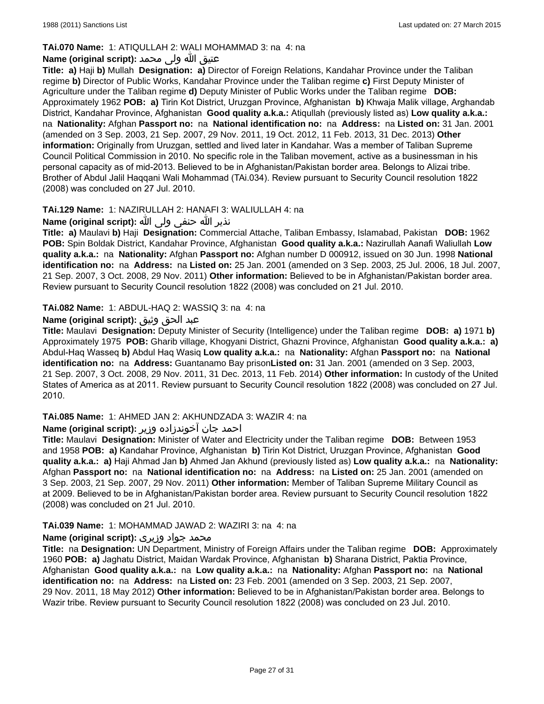# **TAi.070 Name:** 1: ATIQULLAH 2: WALI MOHAMMAD 3: na 4: na

# عتیق الله ولی محمد **:(script original (Name**

**Title: a)** Haji **b)** Mullah **Designation: a)** Director of Foreign Relations, Kandahar Province under the Taliban regime **b)** Director of Public Works, Kandahar Province under the Taliban regime **c)** First Deputy Minister of Agriculture under the Taliban regime **d)** Deputy Minister of Public Works under the Taliban regime **DOB:**  Approximately 1962 **POB: a)** Tirin Kot District, Uruzgan Province, Afghanistan **b)** Khwaja Malik village, Arghandab District, Kandahar Province, Afghanistan **Good quality a.k.a.:** Atiqullah (previously listed as) **Low quality a.k.a.:**  na **Nationality:** Afghan **Passport no:** na **National identification no:** na **Address:** na **Listed on:** 31 Jan. 2001 (amended on 3 Sep. 2003, 21 Sep. 2007, 29 Nov. 2011, 19 Oct. 2012, 11 Feb. 2013, 31 Dec. 2013) **Other information:** Originally from Uruzgan, settled and lived later in Kandahar. Was a member of Taliban Supreme Council Political Commission in 2010. No specific role in the Taliban movement, active as a businessman in his personal capacity as of mid-2013. Believed to be in Afghanistan/Pakistan border area. Belongs to Alizai tribe. Brother of Abdul Jalil Haqqani Wali Mohammad (TAi.034). Review pursuant to Security Council resolution 1822 (2008) was concluded on 27 Jul. 2010.

# **TAi.129 Name:** 1: NAZIRULLAH 2: HANAFI 3: WALIULLAH 4: na

# نذیر الله حنفى ولى الله **:(script original (Name**

**Title: a)** Maulavi **b)** Haji **Designation:** Commercial Attache, Taliban Embassy, Islamabad, Pakistan **DOB:** 1962 **POB:** Spin Boldak District, Kandahar Province, Afghanistan **Good quality a.k.a.:** Nazirullah Aanafi Waliullah **Low quality a.k.a.:** na **Nationality:** Afghan **Passport no:** Afghan number D 000912, issued on 30 Jun. 1998 **National identification no:** na **Address:** na **Listed on:** 25 Jan. 2001 (amended on 3 Sep. 2003, 25 Jul. 2006, 18 Jul. 2007, 21 Sep. 2007, 3 Oct. 2008, 29 Nov. 2011) **Other information:** Believed to be in Afghanistan/Pakistan border area. Review pursuant to Security Council resolution 1822 (2008) was concluded on 21 Jul. 2010.

# **TAi.082 Name:** 1: ABDUL-HAQ 2: WASSIQ 3: na 4: na

# عبد الحق وثيق **:(script original (Name**

**Title:** Maulavi **Designation:** Deputy Minister of Security (Intelligence) under the Taliban regime **DOB: a)** 1971 **b)**  Approximately 1975 **POB:** Gharib village, Khogyani District, Ghazni Province, Afghanistan **Good quality a.k.a.: a)** Abdul-Haq Wasseq **b)** Abdul Haq Wasiq **Low quality a.k.a.:** na **Nationality:** Afghan **Passport no:** na **National identification no:** na **Address:** Guantanamo Bay prison**Listed on:** 31 Jan. 2001 (amended on 3 Sep. 2003, 21 Sep. 2007, 3 Oct. 2008, 29 Nov. 2011, 31 Dec. 2013, 11 Feb. 2014) **Other information:** In custody of the United States of America as at 2011. Review pursuant to Security Council resolution 1822 (2008) was concluded on 27 Jul. 2010.

# **TAi.085 Name:** 1: AHMED JAN 2: AKHUNDZADA 3: WAZIR 4: na

# احمد جان آخوندزاده وزیر **:(script original (Name**

**Title:** Maulavi **Designation:** Minister of Water and Electricity under the Taliban regime **DOB:** Between 1953 and 1958 **POB: a)** Kandahar Province, Afghanistan **b)** Tirin Kot District, Uruzgan Province, Afghanistan **Good quality a.k.a.: a)** Haji Ahmad Jan **b)** Ahmed Jan Akhund (previously listed as) **Low quality a.k.a.:** na **Nationality:** Afghan **Passport no:** na **National identification no:** na **Address:** na **Listed on:** 25 Jan. 2001 (amended on 3 Sep. 2003, 21 Sep. 2007, 29 Nov. 2011) **Other information:** Member of Taliban Supreme Military Council as at 2009. Believed to be in Afghanistan/Pakistan border area. Review pursuant to Security Council resolution 1822 (2008) was concluded on 21 Jul. 2010.

# **TAi.039 Name:** 1: MOHAMMAD JAWAD 2: WAZIRI 3: na 4: na

# محمد جواد وزیری **:(Name (original script**

**Title:** na **Designation:** UN Department, Ministry of Foreign Affairs under the Taliban regime **DOB:** Approximately 1960 **POB: a)** Jaghatu District, Maidan Wardak Province, Afghanistan **b)** Sharana District, Paktia Province, Afghanistan **Good quality a.k.a.:** na **Low quality a.k.a.:** na **Nationality:** Afghan **Passport no:** na **National identification no:** na **Address:** na **Listed on:** 23 Feb. 2001 (amended on 3 Sep. 2003, 21 Sep. 2007, 29 Nov. 2011, 18 May 2012) **Other information:** Believed to be in Afghanistan/Pakistan border area. Belongs to Wazir tribe. Review pursuant to Security Council resolution 1822 (2008) was concluded on 23 Jul. 2010.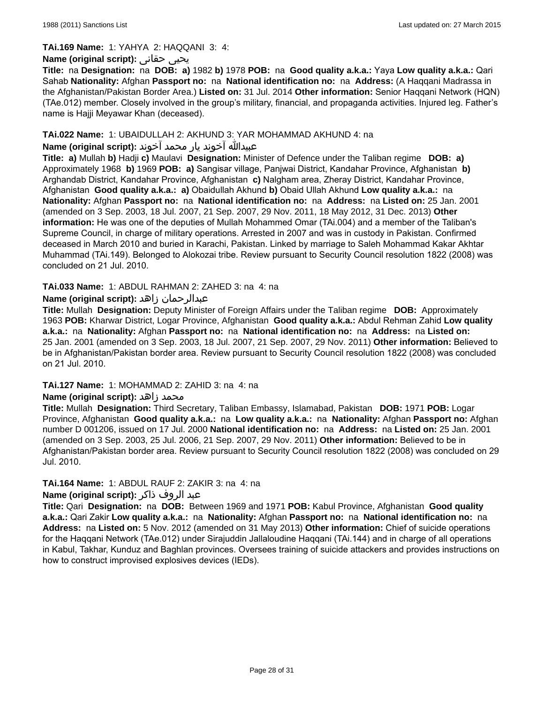#### **TAi.169 Name:** 1: YAHYA 2: HAQQANI 3: 4:

### **Name (original script):** حقانی يحيى

**Title:** na **Designation:** na **DOB: a)** 1982 **b)** 1978 **POB:** na **Good quality a.k.a.:** Yaya **Low quality a.k.a.:** Qari Sahab **Nationality:** Afghan **Passport no:** na **National identification no:** na **Address:** (A Haqqani Madrassa in the Afghanistan/Pakistan Border Area.) **Listed on:** 31 Jul. 2014 **Other information:** Senior Haqqani Network (HQN) (TAe.012) member. Closely involved in the group's military, financial, and propaganda activities. Injured leg. Father's name is Hajji Meyawar Khan (deceased).

### **TAi.022 Name:** 1: UBAIDULLAH 2: AKHUND 3: YAR MOHAMMAD AKHUND 4: na

# عبیدالله آخوند یار محمد آخوند **:(script original (Name**

**Title: a)** Mullah **b)** Hadji **c)** Maulavi **Designation:** Minister of Defence under the Taliban regime **DOB: a)**  Approximately 1968 **b)** 1969 **POB: a)** Sangisar village, Panjwai District, Kandahar Province, Afghanistan **b)** Arghandab District, Kandahar Province, Afghanistan **c)** Nalgham area, Zheray District, Kandahar Province, Afghanistan **Good quality a.k.a.: a)** Obaidullah Akhund **b)** Obaid Ullah Akhund **Low quality a.k.a.:** na **Nationality:** Afghan **Passport no:** na **National identification no:** na **Address:** na **Listed on:** 25 Jan. 2001 (amended on 3 Sep. 2003, 18 Jul. 2007, 21 Sep. 2007, 29 Nov. 2011, 18 May 2012, 31 Dec. 2013) **Other information:** He was one of the deputies of Mullah Mohammed Omar (TAi.004) and a member of the Taliban's Supreme Council, in charge of military operations. Arrested in 2007 and was in custody in Pakistan. Confirmed deceased in March 2010 and buried in Karachi, Pakistan. Linked by marriage to Saleh Mohammad Kakar Akhtar Muhammad (TAi.149). Belonged to Alokozai tribe. Review pursuant to Security Council resolution 1822 (2008) was concluded on 21 Jul. 2010.

### **TAi.033 Name:** 1: ABDUL RAHMAN 2: ZAHED 3: na 4: na

# **Name (original script):** زاهد عبدالرحمان

**Title:** Mullah **Designation:** Deputy Minister of Foreign Affairs under the Taliban regime **DOB:** Approximately 1963 **POB:** Kharwar District, Logar Province, Afghanistan **Good quality a.k.a.:** Abdul Rehman Zahid **Low quality a.k.a.:** na **Nationality:** Afghan **Passport no:** na **National identification no:** na **Address:** na **Listed on:** 25 Jan. 2001 (amended on 3 Sep. 2003, 18 Jul. 2007, 21 Sep. 2007, 29 Nov. 2011) **Other information:** Believed to be in Afghanistan/Pakistan border area. Review pursuant to Security Council resolution 1822 (2008) was concluded on 21 Jul. 2010.

#### **TAi.127 Name:** 1: MOHAMMAD 2: ZAHID 3: na 4: na

# **Name (original script):** زاهد محمد

**Title:** Mullah **Designation:** Third Secretary, Taliban Embassy, Islamabad, Pakistan **DOB:** 1971 **POB:** Logar Province, Afghanistan **Good quality a.k.a.:** na **Low quality a.k.a.:** na **Nationality:** Afghan **Passport no:** Afghan number D 001206, issued on 17 Jul. 2000 **National identification no:** na **Address:** na **Listed on:** 25 Jan. 2001 (amended on 3 Sep. 2003, 25 Jul. 2006, 21 Sep. 2007, 29 Nov. 2011) **Other information:** Believed to be in Afghanistan/Pakistan border area. Review pursuant to Security Council resolution 1822 (2008) was concluded on 29 Jul. 2010.

#### **TAi.164 Name:** 1: ABDUL RAUF 2: ZAKIR 3: na 4: na

#### عبد الروف ذاکر **:(script original (Name**

**Title:** Qari **Designation:** na **DOB:** Between 1969 and 1971 **POB:** Kabul Province, Afghanistan **Good quality a.k.a.:** Qari Zakir **Low quality a.k.a.:** na **Nationality:** Afghan **Passport no:** na **National identification no:** na **Address:** na **Listed on:** 5 Nov. 2012 (amended on 31 May 2013) **Other information:** Chief of suicide operations for the Haqqani Network (TAe.012) under Sirajuddin Jallaloudine Haqqani (TAi.144) and in charge of all operations in Kabul, Takhar, Kunduz and Baghlan provinces. Oversees training of suicide attackers and provides instructions on how to construct improvised explosives devices (IEDs).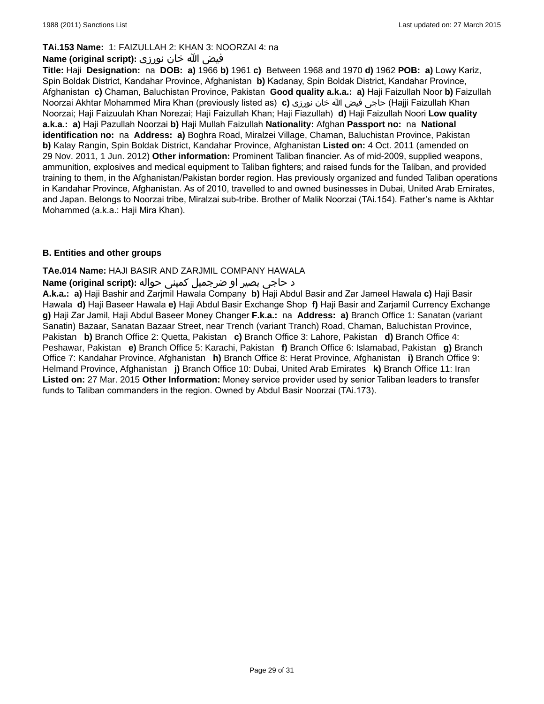### **TAi.153 Name:** 1: FAIZULLAH 2: KHAN 3: NOORZAI 4: na

## فیض الله خان نورزی **:(Name (original script**

**Title:** Haji **Designation:** na **DOB: a)** 1966 **b)** 1961 **c)** Between 1968 and 1970 **d)** 1962 **POB: a)** Lowy Kariz, Spin Boldak District, Kandahar Province, Afghanistan **b)** Kadanay, Spin Boldak District, Kandahar Province, Afghanistan **c)** Chaman, Baluchistan Province, Pakistan **Good quality a.k.a.: a)** Haji Faizullah Noor **b)** Faizullah Noorzai Akhtar Mohammed Mira Khan (previously listed as) **c)** نورزى خان الله فیض حاجى) Hajji Faizullah Khan Noorzai; Haji Faizuulah Khan Norezai; Haji Faizullah Khan; Haji Fiazullah) **d)** Haji Faizullah Noori **Low quality a.k.a.: a)** Haji Pazullah Noorzai **b)** Haji Mullah Faizullah **Nationality:** Afghan **Passport no:** na **National identification no:** na **Address: a)** Boghra Road, Miralzei Village, Chaman, Baluchistan Province, Pakistan **b)** Kalay Rangin, Spin Boldak District, Kandahar Province, Afghanistan **Listed on:** 4 Oct. 2011 (amended on 29 Nov. 2011, 1 Jun. 2012) **Other information:** Prominent Taliban financier. As of mid-2009, supplied weapons, ammunition, explosives and medical equipment to Taliban fighters; and raised funds for the Taliban, and provided training to them, in the Afghanistan/Pakistan border region. Has previously organized and funded Taliban operations in Kandahar Province, Afghanistan. As of 2010, travelled to and owned businesses in Dubai, United Arab Emirates, and Japan. Belongs to Noorzai tribe, Miralzai sub-tribe. Brother of Malik Noorzai (TAi.154). Father's name is Akhtar Mohammed (a.k.a.: Haji Mira Khan).

### **B. Entities and other groups**

### **TAe.014 Name:** HAJI BASIR AND ZARJMIL COMPANY HAWALA

### د حاجی بصیر او ضرجمیل کمپنی حواله **:(script original (Name**

**A.k.a.: a)** Haji Bashir and Zarjmil Hawala Company **b)** Haji Abdul Basir and Zar Jameel Hawala **c)** Haji Basir Hawala **d)** Haji Baseer Hawala **e)** Haji Abdul Basir Exchange Shop **f)** Haji Basir and Zarjamil Currency Exchange **g)** Haji Zar Jamil, Haji Abdul Baseer Money Changer **F.k.a.:** na **Address: a)** Branch Office 1: Sanatan (variant Sanatin) Bazaar, Sanatan Bazaar Street, near Trench (variant Tranch) Road, Chaman, Baluchistan Province, Pakistan **b)** Branch Office 2: Quetta, Pakistan **c)** Branch Office 3: Lahore, Pakistan **d)** Branch Office 4: Peshawar, Pakistan **e)** Branch Office 5: Karachi, Pakistan **f)** Branch Office 6: Islamabad, Pakistan **g)** Branch Office 7: Kandahar Province, Afghanistan **h)** Branch Office 8: Herat Province, Afghanistan **i)** Branch Office 9: Helmand Province, Afghanistan **j)** Branch Office 10: Dubai, United Arab Emirates **k)** Branch Office 11: Iran **Listed on:** 27 Mar. 2015 **Other Information:** Money service provider used by senior Taliban leaders to transfer funds to Taliban commanders in the region. Owned by Abdul Basir Noorzai (TAi.173).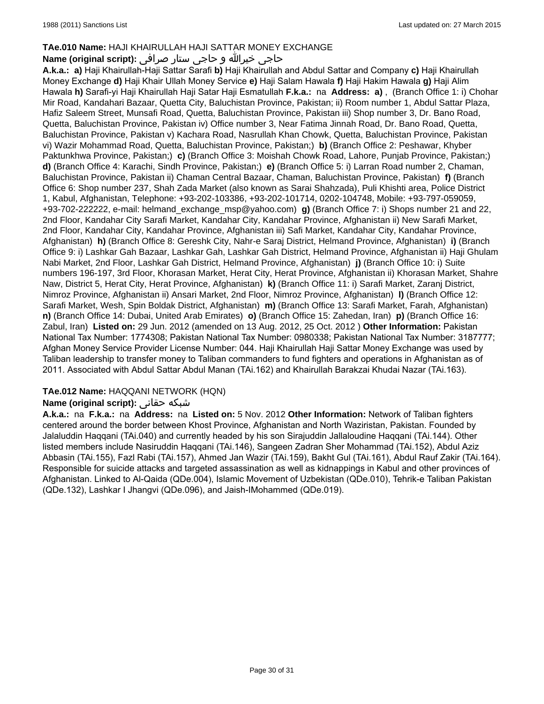# **TAe.010 Name:** HAJI KHAIRULLAH HAJI SATTAR MONEY EXCHANGE

# حاجی خيرالله و حاجی ستار صرافی **:(script original (Name**

**A.k.a.: a)** Haji Khairullah-Haji Sattar Sarafi **b)** Haji Khairullah and Abdul Sattar and Company **c)** Haji Khairullah Money Exchange **d)** Haji Khair Ullah Money Service **e)** Haji Salam Hawala **f)** Haji Hakim Hawala **g)** Haji Alim Hawala **h)** Sarafi-yi Haji Khairullah Haji Satar Haji Esmatullah **F.k.a.:** na **Address: a)** , (Branch Office 1: i) Chohar Mir Road, Kandahari Bazaar, Quetta City, Baluchistan Province, Pakistan; ii) Room number 1, Abdul Sattar Plaza, Hafiz Saleem Street, Munsafi Road, Quetta, Baluchistan Province, Pakistan iii) Shop number 3, Dr. Bano Road, Quetta, Baluchistan Province, Pakistan iv) Office number 3, Near Fatima Jinnah Road, Dr. Bano Road, Quetta, Baluchistan Province, Pakistan v) Kachara Road, Nasrullah Khan Chowk, Quetta, Baluchistan Province, Pakistan vi) Wazir Mohammad Road, Quetta, Baluchistan Province, Pakistan;) **b)** (Branch Office 2: Peshawar, Khyber Paktunkhwa Province, Pakistan;) **c)** (Branch Office 3: Moishah Chowk Road, Lahore, Punjab Province, Pakistan;) **d)** (Branch Office 4: Karachi, Sindh Province, Pakistan;) **e)** (Branch Office 5: i) Larran Road number 2, Chaman, Baluchistan Province, Pakistan ii) Chaman Central Bazaar, Chaman, Baluchistan Province, Pakistan) **f)** (Branch Office 6: Shop number 237, Shah Zada Market (also known as Sarai Shahzada), Puli Khishti area, Police District 1, Kabul, Afghanistan, Telephone: +93-202-103386, +93-202-101714, 0202-104748, Mobile: +93-797-059059, +93-702-222222, e-mail: helmand\_exchange\_msp@yahoo.com) **g)** (Branch Office 7: i) Shops number 21 and 22, 2nd Floor, Kandahar City Sarafi Market, Kandahar City, Kandahar Province, Afghanistan ii) New Sarafi Market, 2nd Floor, Kandahar City, Kandahar Province, Afghanistan iii) Safi Market, Kandahar City, Kandahar Province, Afghanistan) **h)** (Branch Office 8: Gereshk City, Nahr-e Saraj District, Helmand Province, Afghanistan) **i)** (Branch Office 9: i) Lashkar Gah Bazaar, Lashkar Gah, Lashkar Gah District, Helmand Province, Afghanistan ii) Haji Ghulam Nabi Market, 2nd Floor, Lashkar Gah District, Helmand Province, Afghanistan) **j)** (Branch Office 10: i) Suite numbers 196-197, 3rd Floor, Khorasan Market, Herat City, Herat Province, Afghanistan ii) Khorasan Market, Shahre Naw, District 5, Herat City, Herat Province, Afghanistan) **k)** (Branch Office 11: i) Sarafi Market, Zaranj District, Nimroz Province, Afghanistan ii) Ansari Market, 2nd Floor, Nimroz Province, Afghanistan) **l)** (Branch Office 12: Sarafi Market, Wesh, Spin Boldak District, Afghanistan) **m)** (Branch Office 13: Sarafi Market, Farah, Afghanistan) **n)** (Branch Office 14: Dubai, United Arab Emirates) **o)** (Branch Office 15: Zahedan, Iran) **p)** (Branch Office 16: Zabul, Iran) **Listed on:** 29 Jun. 2012 (amended on 13 Aug. 2012, 25 Oct. 2012 ) **Other Information:** Pakistan National Tax Number: 1774308; Pakistan National Tax Number: 0980338; Pakistan National Tax Number: 3187777; Afghan Money Service Provider License Number: 044. Haji Khairullah Haji Sattar Money Exchange was used by Taliban leadership to transfer money to Taliban commanders to fund fighters and operations in Afghanistan as of 2011. Associated with Abdul Sattar Abdul Manan (TAi.162) and Khairullah Barakzai Khudai Nazar (TAi.163).

# **TAe.012 Name:** HAQQANI NETWORK (HQN)

# **Name (original script):** حقانی شبکه

**A.k.a.:** na **F.k.a.:** na **Address:** na **Listed on:** 5 Nov. 2012 **Other Information:** Network of Taliban fighters centered around the border between Khost Province, Afghanistan and North Waziristan, Pakistan. Founded by Jalaluddin Haqqani (TAi.040) and currently headed by his son Sirajuddin Jallaloudine Haqqani (TAi.144). Other listed members include Nasiruddin Haqqani (TAi.146), Sangeen Zadran Sher Mohammad (TAi.152), Abdul Aziz Abbasin (TAi.155), Fazl Rabi (TAi.157), Ahmed Jan Wazir (TAi.159), Bakht Gul (TAi.161), Abdul Rauf Zakir (TAi.164). Responsible for suicide attacks and targeted assassination as well as kidnappings in Kabul and other provinces of Afghanistan. Linked to Al-Qaida (QDe.004), Islamic Movement of Uzbekistan (QDe.010), Tehrik-e Taliban Pakistan (QDe.132), Lashkar I Jhangvi (QDe.096), and Jaish-IMohammed (QDe.019).